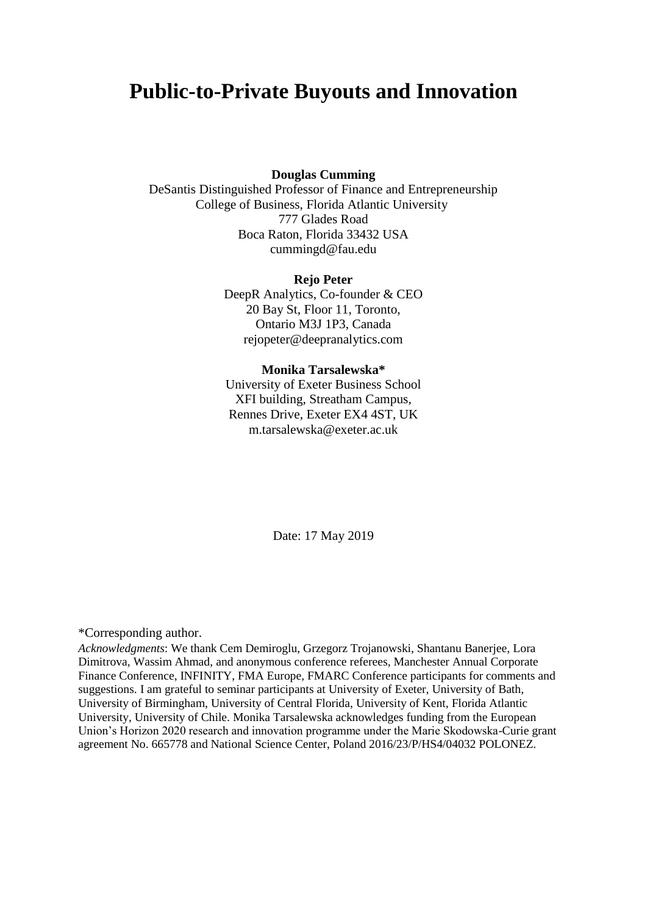# **Public-to-Private Buyouts and Innovation**

**Douglas Cumming**

DeSantis Distinguished Professor of Finance and Entrepreneurship College of Business, Florida Atlantic University 777 Glades Road Boca Raton, Florida 33432 USA cummingd@fau.edu

#### **Rejo Peter**

DeepR Analytics, Co-founder & CEO 20 Bay St, Floor 11, Toronto, Ontario M3J 1P3, Canada [rejopeter@deepranalytics.com](mailto:rejopeter@deepranalytics.com)

#### **Monika Tarsalewska\***

University of Exeter Business School XFI building, Streatham Campus, Rennes Drive, Exeter EX4 4ST, UK m.tarsalewska@exeter.ac.uk

Date: 17 May 2019

#### \*Corresponding author.

*Acknowledgments*: We thank Cem Demiroglu, Grzegorz Trojanowski, Shantanu Banerjee, Lora Dimitrova, Wassim Ahmad, and anonymous conference referees, Manchester Annual Corporate Finance Conference, INFINITY, FMA Europe, FMARC Conference participants for comments and suggestions. I am grateful to seminar participants at University of Exeter, University of Bath, University of Birmingham, University of Central Florida, University of Kent, Florida Atlantic University, University of Chile. Monika Tarsalewska acknowledges funding from the European Union's Horizon 2020 research and innovation programme under the Marie Skodowska-Curie grant agreement No. 665778 and National Science Center, Poland 2016/23/P/HS4/04032 POLONEZ.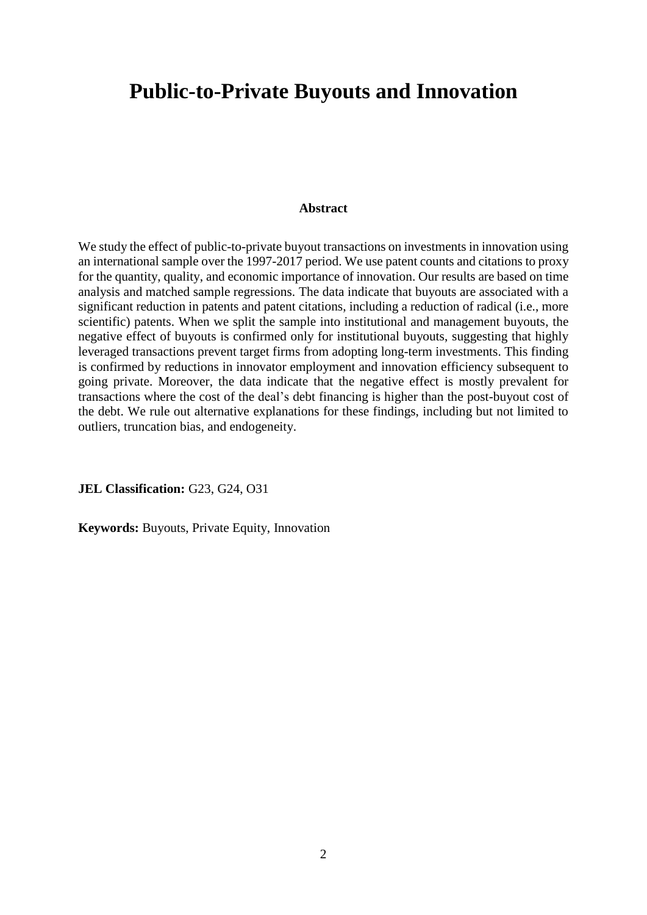# **Public-to-Private Buyouts and Innovation**

# **Abstract**

We study the effect of public-to-private buyout transactions on investments in innovation using an international sample over the 1997-2017 period. We use patent counts and citations to proxy for the quantity, quality, and economic importance of innovation. Our results are based on time analysis and matched sample regressions. The data indicate that buyouts are associated with a significant reduction in patents and patent citations, including a reduction of radical (i.e., more scientific) patents. When we split the sample into institutional and management buyouts, the negative effect of buyouts is confirmed only for institutional buyouts, suggesting that highly leveraged transactions prevent target firms from adopting long-term investments. This finding is confirmed by reductions in innovator employment and innovation efficiency subsequent to going private. Moreover, the data indicate that the negative effect is mostly prevalent for transactions where the cost of the deal's debt financing is higher than the post-buyout cost of the debt. We rule out alternative explanations for these findings, including but not limited to outliers, truncation bias, and endogeneity.

**JEL Classification:** G23, G24, O31

**Keywords:** Buyouts, Private Equity, Innovation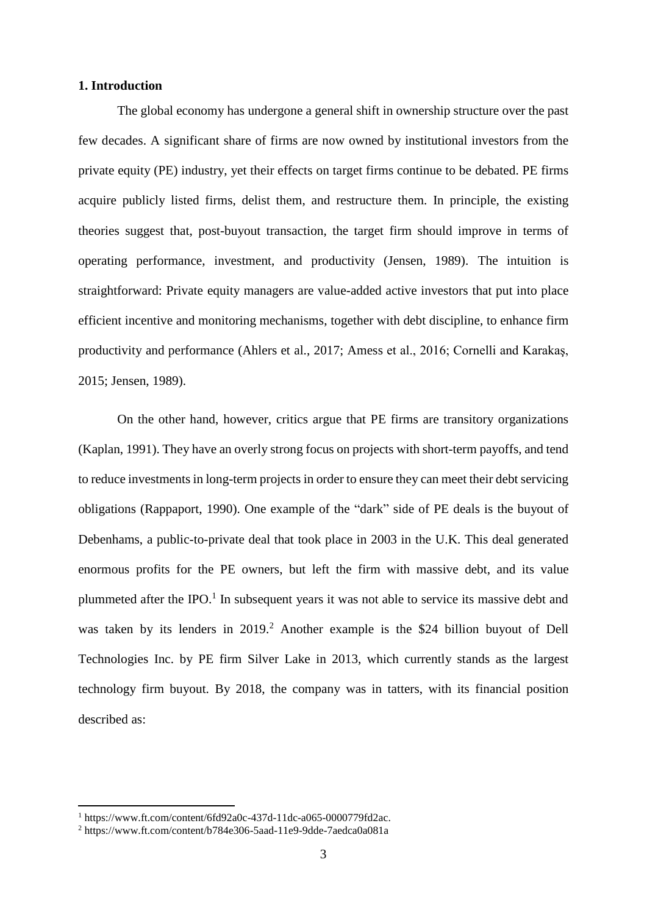# **1. Introduction**

The global economy has undergone a general shift in ownership structure over the past few decades. A significant share of firms are now owned by institutional investors from the private equity (PE) industry, yet their effects on target firms continue to be debated. PE firms acquire publicly listed firms, delist them, and restructure them. In principle, the existing theories suggest that, post-buyout transaction, the target firm should improve in terms of operating performance, investment, and productivity (Jensen, 1989). The intuition is straightforward: Private equity managers are value-added active investors that put into place efficient incentive and monitoring mechanisms, together with debt discipline, to enhance firm productivity and performance (Ahlers et al., 2017; Amess et al., 2016; Cornelli and Karakaş, 2015; Jensen, 1989).

On the other hand, however, critics argue that PE firms are transitory organizations (Kaplan, 1991). They have an overly strong focus on projects with short-term payoffs, and tend to reduce investments in long-term projects in order to ensure they can meet their debt servicing obligations (Rappaport, 1990). One example of the "dark" side of PE deals is the buyout of Debenhams, a public-to-private deal that took place in 2003 in the U.K. This deal generated enormous profits for the PE owners, but left the firm with massive debt, and its value plummeted after the IPO. $<sup>1</sup>$  In subsequent years it was not able to service its massive debt and</sup> was taken by its lenders in 2019.<sup>2</sup> Another example is the \$24 billion buyout of Dell Technologies Inc. by PE firm Silver Lake in 2013, which currently stands as the largest technology firm buyout. By 2018, the company was in tatters, with its financial position described as:

**.** 

 $1 \text{ https://www.ft.com/content/6fd92a0c-437d-11dc-a065-0000779fd2ac.}$ 

<sup>2</sup> https://www.ft.com/content/b784e306-5aad-11e9-9dde-7aedca0a081a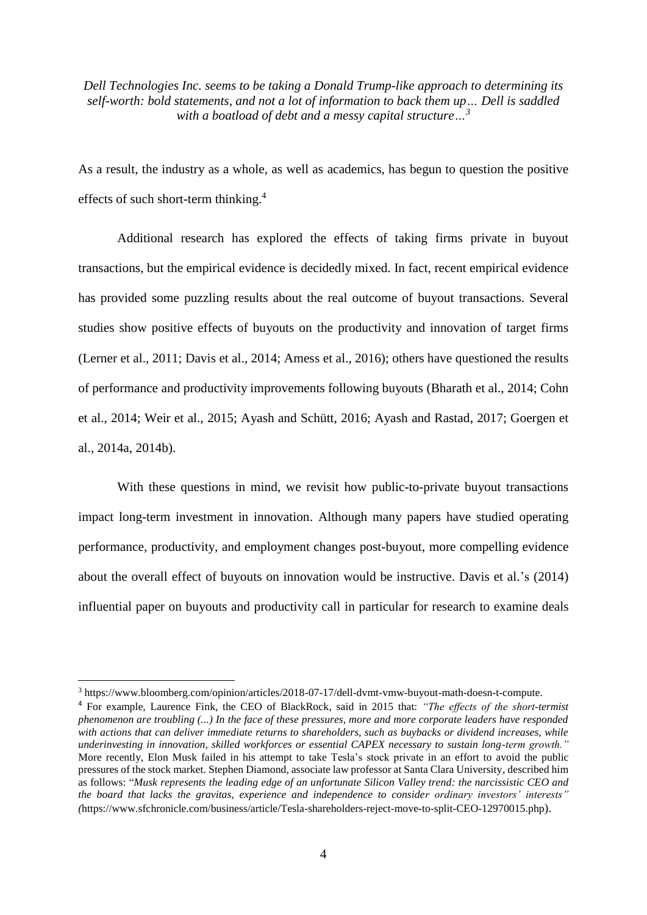*Dell Technologies Inc. seems to be taking a [Donald Trump-like approach](https://www.bloomberg.com/view/articles/2015-07-21/dear-mr-trump-i-m-worth-10-billion-too-) to determining its self-worth: bold statements, and not a lot of information to back them up… Dell is saddled with a boatload of debt and a messy capital structure…<sup>3</sup>*

As a result, the industry as a whole, as well as academics, has begun to question the positive effects of such short-term thinking. 4

Additional research has explored the effects of taking firms private in buyout transactions, but the empirical evidence is decidedly mixed. In fact, recent empirical evidence has provided some puzzling results about the real outcome of buyout transactions. Several studies show positive effects of buyouts on the productivity and innovation of target firms (Lerner et al., 2011; Davis et al., 2014; Amess et al., 2016); others have questioned the results of performance and productivity improvements following buyouts (Bharath et al., 2014; Cohn et al., 2014; Weir et al., 2015; Ayash and Schütt, 2016; Ayash and Rastad, 2017; Goergen et al., 2014a, 2014b).

With these questions in mind, we revisit how public-to-private buyout transactions impact long-term investment in innovation. Although many papers have studied operating performance, productivity, and employment changes post-buyout, more compelling evidence about the overall effect of buyouts on innovation would be instructive. Davis et al.'s (2014) influential paper on buyouts and productivity call in particular for research to examine deals

 $\overline{a}$ 

<sup>3</sup> https://www.bloomberg.com/opinion/articles/2018-07-17/dell-dvmt-vmw-buyout-math-doesn-t-compute.

<sup>4</sup> For example, Laurence Fink, the CEO of BlackRock, said in 2015 that: *"The effects of the short-termist phenomenon are troubling (...) In the face of these pressures, more and more corporate leaders have responded with actions that can deliver immediate returns to shareholders, such as buybacks or dividend increases, while underinvesting in innovation, skilled workforces or essential CAPEX necessary to sustain long-term growth."*  More recently, Elon Musk failed in his attempt to take Tesla's stock private in an effort to avoid the public pressures of the stock market. Stephen Diamond, associate law professor at Santa Clara University, described him as follows: "*Musk represents the leading edge of an unfortunate Silicon Valley trend: the narcissistic CEO and the board that lacks the gravitas, experience and independence to consider ordinary investors' interests" (*https://www.sfchronicle.com/business/article/Tesla-shareholders-reject-move-to-split-CEO-12970015.php).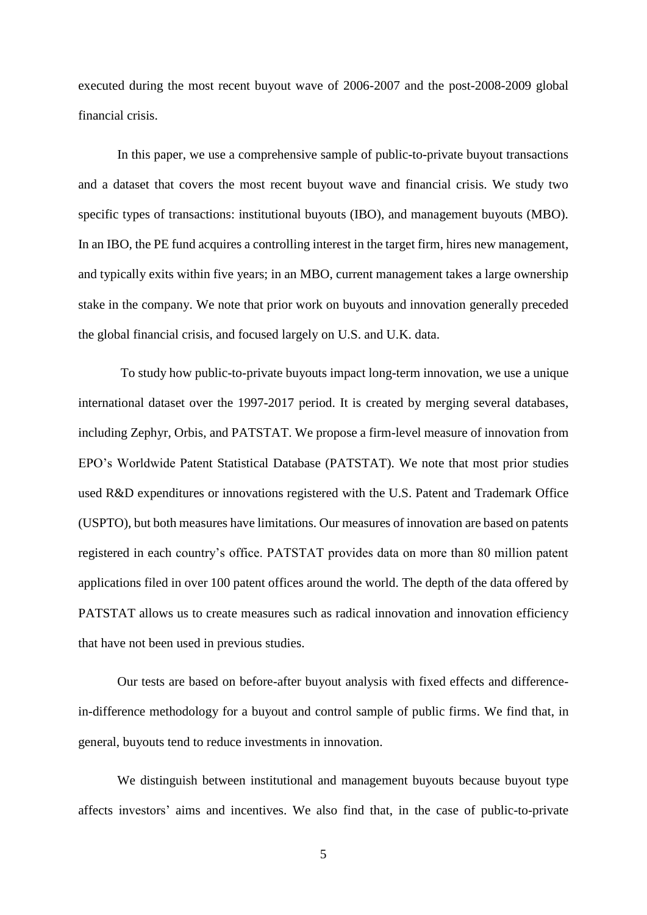executed during the most recent buyout wave of 2006-2007 and the post-2008-2009 global financial crisis.

In this paper, we use a comprehensive sample of public-to-private buyout transactions and a dataset that covers the most recent buyout wave and financial crisis. We study two specific types of transactions: institutional buyouts (IBO), and management buyouts (MBO). In an IBO, the PE fund acquires a controlling interest in the target firm, hires new management, and typically exits within five years; in an MBO, current management takes a large ownership stake in the company. We note that prior work on buyouts and innovation generally preceded the global financial crisis, and focused largely on U.S. and U.K. data.

To study how public-to-private buyouts impact long-term innovation, we use a unique international dataset over the 1997-2017 period. It is created by merging several databases, including Zephyr, Orbis, and PATSTAT. We propose a firm-level measure of innovation from EPO's Worldwide Patent Statistical Database (PATSTAT). We note that most prior studies used R&D expenditures or innovations registered with the U.S. Patent and Trademark Office (USPTO), but both measures have limitations. Our measures of innovation are based on patents registered in each country's office. PATSTAT provides data on more than 80 million patent applications filed in over 100 patent offices around the world. The depth of the data offered by PATSTAT allows us to create measures such as radical innovation and innovation efficiency that have not been used in previous studies.

Our tests are based on before-after buyout analysis with fixed effects and differencein-difference methodology for a buyout and control sample of public firms. We find that, in general, buyouts tend to reduce investments in innovation.

We distinguish between institutional and management buyouts because buyout type affects investors' aims and incentives. We also find that, in the case of public-to-private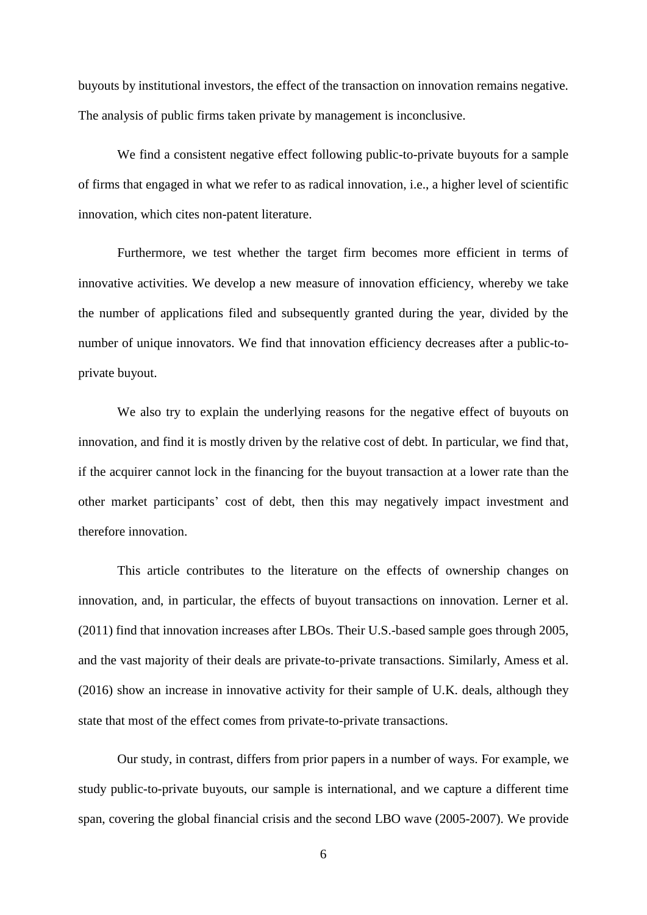buyouts by institutional investors, the effect of the transaction on innovation remains negative. The analysis of public firms taken private by management is inconclusive.

We find a consistent negative effect following public-to-private buyouts for a sample of firms that engaged in what we refer to as radical innovation, i.e., a higher level of scientific innovation, which cites non-patent literature.

Furthermore, we test whether the target firm becomes more efficient in terms of innovative activities. We develop a new measure of innovation efficiency, whereby we take the number of applications filed and subsequently granted during the year, divided by the number of unique innovators. We find that innovation efficiency decreases after a public-toprivate buyout.

We also try to explain the underlying reasons for the negative effect of buyouts on innovation, and find it is mostly driven by the relative cost of debt. In particular, we find that, if the acquirer cannot lock in the financing for the buyout transaction at a lower rate than the other market participants' cost of debt, then this may negatively impact investment and therefore innovation.

This article contributes to the literature on the effects of ownership changes on innovation, and, in particular, the effects of buyout transactions on innovation. Lerner et al. (2011) find that innovation increases after LBOs. Their U.S.-based sample goes through 2005, and the vast majority of their deals are private-to-private transactions. Similarly, Amess et al. (2016) show an increase in innovative activity for their sample of U.K. deals, although they state that most of the effect comes from private-to-private transactions.

Our study, in contrast, differs from prior papers in a number of ways. For example, we study public-to-private buyouts, our sample is international, and we capture a different time span, covering the global financial crisis and the second LBO wave (2005-2007). We provide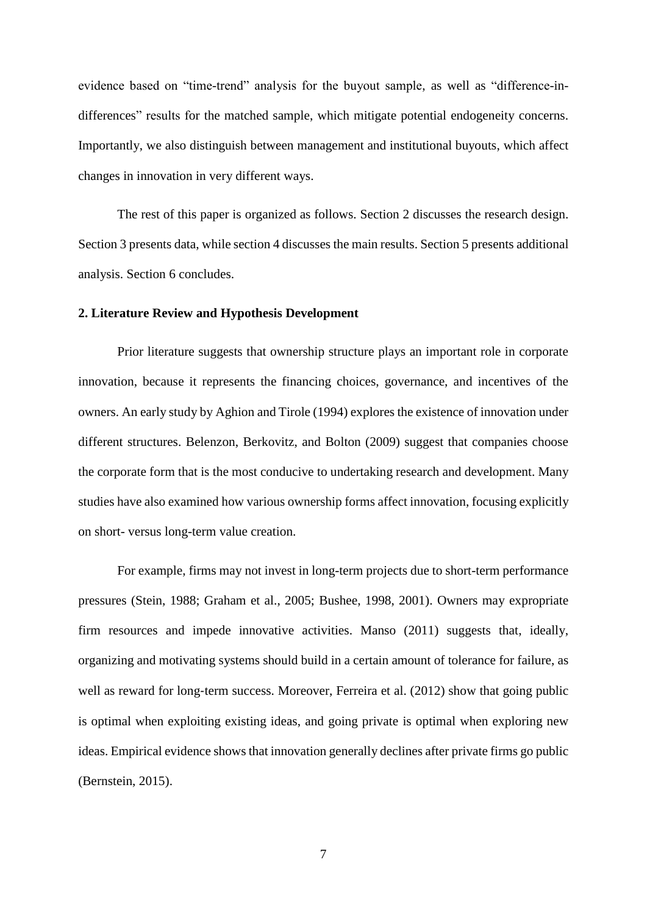evidence based on "time-trend" analysis for the buyout sample, as well as "difference-indifferences" results for the matched sample, which mitigate potential endogeneity concerns. Importantly, we also distinguish between management and institutional buyouts, which affect changes in innovation in very different ways.

The rest of this paper is organized as follows. Section 2 discusses the research design. Section 3 presents data, while section 4 discusses the main results. Section 5 presents additional analysis. Section 6 concludes.

#### **2. Literature Review and Hypothesis Development**

Prior literature suggests that ownership structure plays an important role in corporate innovation, because it represents the financing choices, governance, and incentives of the owners. An early study by Aghion and Tirole (1994) explores the existence of innovation under different structures. Belenzon, Berkovitz, and Bolton (2009) suggest that companies choose the corporate form that is the most conducive to undertaking research and development. Many studies have also examined how various ownership forms affect innovation, focusing explicitly on short- versus long-term value creation.

For example, firms may not invest in long-term projects due to short-term performance pressures (Stein, 1988; Graham et al., 2005; Bushee, 1998, 2001). Owners may expropriate firm resources and impede innovative activities. Manso (2011) suggests that, ideally, organizing and motivating systems should build in a certain amount of tolerance for failure, as well as reward for long-term success. Moreover, Ferreira et al. (2012) show that going public is optimal when exploiting existing ideas, and going private is optimal when exploring new ideas. Empirical evidence shows that innovation generally declines after private firms go public (Bernstein, 2015).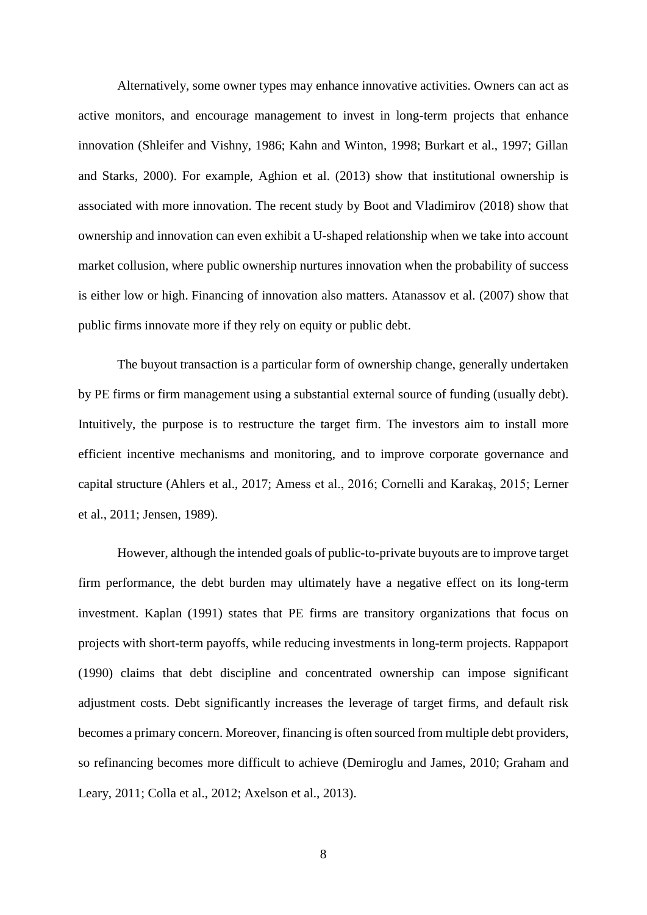Alternatively, some owner types may enhance innovative activities. Owners can act as active monitors, and encourage management to invest in long-term projects that enhance innovation (Shleifer and Vishny, 1986; Kahn and Winton, 1998; Burkart et al., 1997; Gillan and Starks, 2000). For example, Aghion et al. (2013) show that institutional ownership is associated with more innovation. The recent study by Boot and Vladimirov (2018) show that ownership and innovation can even exhibit a U-shaped relationship when we take into account market collusion, where public ownership nurtures innovation when the probability of success is either low or high. Financing of innovation also matters. Atanassov et al. (2007) show that public firms innovate more if they rely on equity or public debt.

The buyout transaction is a particular form of ownership change, generally undertaken by PE firms or firm management using a substantial external source of funding (usually debt). Intuitively, the purpose is to restructure the target firm. The investors aim to install more efficient incentive mechanisms and monitoring, and to improve corporate governance and capital structure (Ahlers et al., 2017; Amess et al., 2016; Cornelli and Karakaş, 2015; Lerner et al., 2011; Jensen, 1989).

However, although the intended goals of public-to-private buyouts are to improve target firm performance, the debt burden may ultimately have a negative effect on its long-term investment. Kaplan (1991) states that PE firms are transitory organizations that focus on projects with short-term payoffs, while reducing investments in long-term projects. Rappaport (1990) claims that debt discipline and concentrated ownership can impose significant adjustment costs. Debt significantly increases the leverage of target firms, and default risk becomes a primary concern. Moreover, financing is often sourced from multiple debt providers, so refinancing becomes more difficult to achieve (Demiroglu and James, 2010; Graham and Leary, 2011; Colla et al., 2012; Axelson et al., 2013).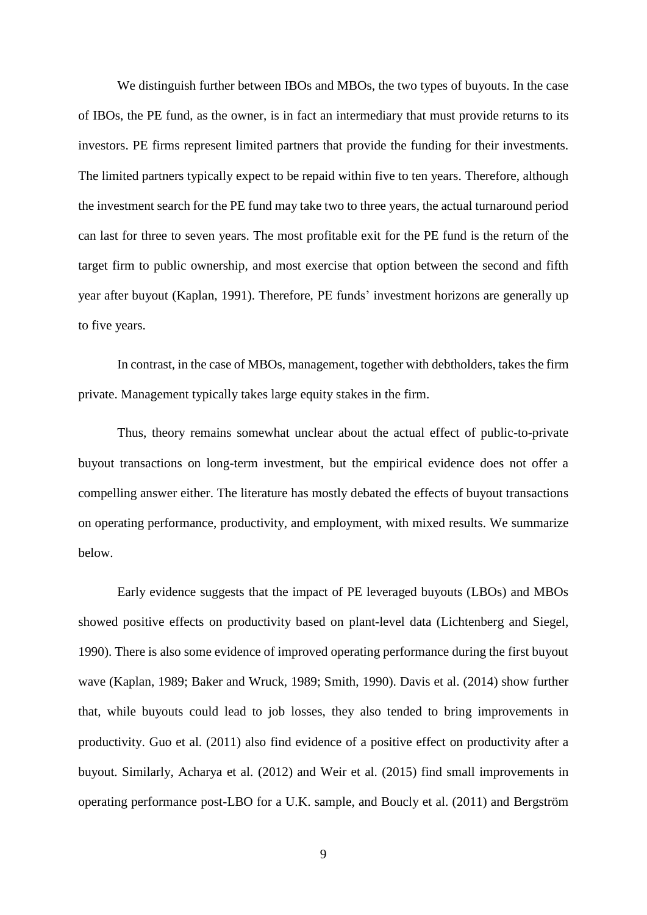We distinguish further between IBOs and MBOs, the two types of buyouts. In the case of IBOs, the PE fund, as the owner, is in fact an intermediary that must provide returns to its investors. PE firms represent limited partners that provide the funding for their investments. The limited partners typically expect to be repaid within five to ten years. Therefore, although the investment search for the PE fund may take two to three years, the actual turnaround period can last for three to seven years. The most profitable exit for the PE fund is the return of the target firm to public ownership, and most exercise that option between the second and fifth year after buyout (Kaplan, 1991). Therefore, PE funds' investment horizons are generally up to five years.

In contrast, in the case of MBOs, management, together with debtholders, takes the firm private. Management typically takes large equity stakes in the firm.

Thus, theory remains somewhat unclear about the actual effect of public-to-private buyout transactions on long-term investment, but the empirical evidence does not offer a compelling answer either. The literature has mostly debated the effects of buyout transactions on operating performance, productivity, and employment, with mixed results. We summarize below.

Early evidence suggests that the impact of PE leveraged buyouts (LBOs) and MBOs showed positive effects on productivity based on plant-level data (Lichtenberg and Siegel, 1990). There is also some evidence of improved operating performance during the first buyout wave (Kaplan, 1989; Baker and Wruck, 1989; Smith, 1990). Davis et al. (2014) show further that, while buyouts could lead to job losses, they also tended to bring improvements in productivity. Guo et al. (2011) also find evidence of a positive effect on productivity after a buyout. Similarly, Acharya et al. (2012) and Weir et al. (2015) find small improvements in operating performance post-LBO for a U.K. sample, and Boucly et al. (2011) and Bergström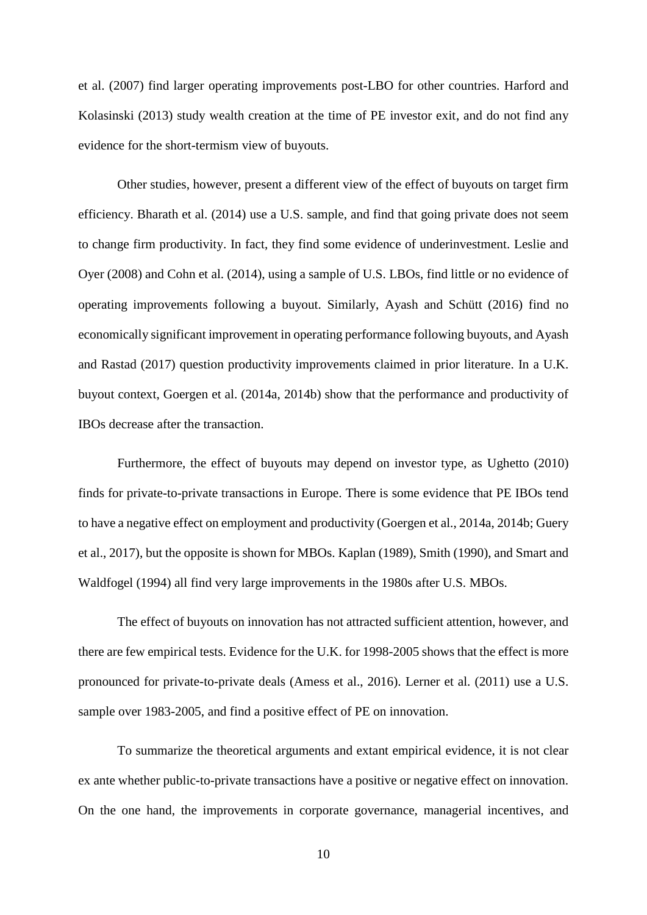et al. (2007) find larger operating improvements post-LBO for other countries. Harford and Kolasinski (2013) study wealth creation at the time of PE investor exit, and do not find any evidence for the short-termism view of buyouts.

Other studies, however, present a different view of the effect of buyouts on target firm efficiency. Bharath et al. (2014) use a U.S. sample, and find that going private does not seem to change firm productivity. In fact, they find some evidence of underinvestment. Leslie and Oyer (2008) and Cohn et al. (2014), using a sample of U.S. LBOs, find little or no evidence of operating improvements following a buyout. Similarly, Ayash and Schütt (2016) find no economically significant improvement in operating performance following buyouts, and Ayash and Rastad (2017) question productivity improvements claimed in prior literature. In a U.K. buyout context, Goergen et al. (2014a, 2014b) show that the performance and productivity of IBOs decrease after the transaction.

Furthermore, the effect of buyouts may depend on investor type, as Ughetto (2010) finds for private-to-private transactions in Europe. There is some evidence that PE IBOs tend to have a negative effect on employment and productivity (Goergen et al., 2014a, 2014b; Guery et al., 2017), but the opposite is shown for MBOs. Kaplan (1989), Smith (1990), and Smart and Waldfogel (1994) all find very large improvements in the 1980s after U.S. MBOs.

The effect of buyouts on innovation has not attracted sufficient attention, however, and there are few empirical tests. Evidence for the U.K. for 1998-2005 shows that the effect is more pronounced for private-to-private deals (Amess et al., 2016). Lerner et al. (2011) use a U.S. sample over 1983-2005, and find a positive effect of PE on innovation.

To summarize the theoretical arguments and extant empirical evidence, it is not clear ex ante whether public-to-private transactions have a positive or negative effect on innovation. On the one hand, the improvements in corporate governance, managerial incentives, and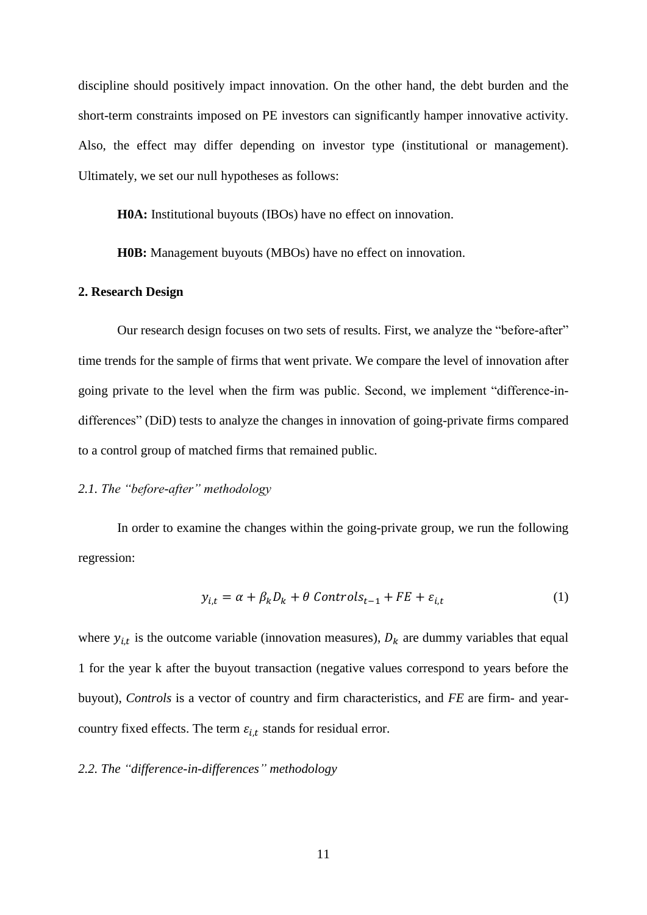discipline should positively impact innovation. On the other hand, the debt burden and the short-term constraints imposed on PE investors can significantly hamper innovative activity. Also, the effect may differ depending on investor type (institutional or management). Ultimately, we set our null hypotheses as follows:

**H0A:** Institutional buyouts (IBOs) have no effect on innovation.

**H0B:** Management buyouts (MBOs) have no effect on innovation.

#### **2. Research Design**

Our research design focuses on two sets of results. First, we analyze the "before-after" time trends for the sample of firms that went private. We compare the level of innovation after going private to the level when the firm was public. Second, we implement "difference-indifferences" (DiD) tests to analyze the changes in innovation of going-private firms compared to a control group of matched firms that remained public.

# *2.1. The "before-after" methodology*

In order to examine the changes within the going-private group, we run the following regression:

$$
y_{i,t} = \alpha + \beta_k D_k + \theta \text{ Controls}_{t-1} + FE + \varepsilon_{i,t} \tag{1}
$$

where  $y_{i,t}$  is the outcome variable (innovation measures),  $D_k$  are dummy variables that equal 1 for the year k after the buyout transaction (negative values correspond to years before the buyout), *Controls* is a vector of country and firm characteristics, and *FE* are firm- and yearcountry fixed effects. The term  $\varepsilon_{i,t}$  stands for residual error.

# *2.2. The "difference-in-differences" methodology*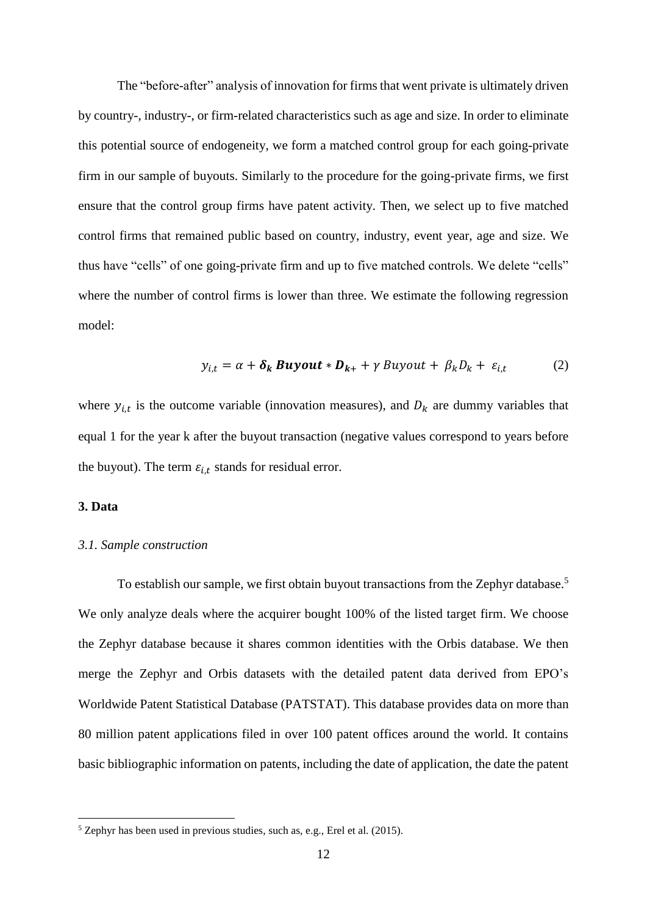The "before-after" analysis of innovation for firms that went private is ultimately driven by country-, industry-, or firm-related characteristics such as age and size. In order to eliminate this potential source of endogeneity, we form a matched control group for each going-private firm in our sample of buyouts. Similarly to the procedure for the going-private firms, we first ensure that the control group firms have patent activity. Then, we select up to five matched control firms that remained public based on country, industry, event year, age and size. We thus have "cells" of one going-private firm and up to five matched controls. We delete "cells" where the number of control firms is lower than three. We estimate the following regression model:

$$
y_{i,t} = \alpha + \delta_k \, \text{Buyout} \ast \mathbf{D}_{k+} + \gamma \, \text{Buyout} + \beta_k D_k + \varepsilon_{i,t} \tag{2}
$$

where  $y_{i,t}$  is the outcome variable (innovation measures), and  $D_k$  are dummy variables that equal 1 for the year k after the buyout transaction (negative values correspond to years before the buyout). The term  $\varepsilon_{i,t}$  stands for residual error.

# **3. Data**

**.** 

#### *3.1. Sample construction*

To establish our sample, we first obtain buyout transactions from the Zephyr database.<sup>5</sup> We only analyze deals where the acquirer bought 100% of the listed target firm. We choose the Zephyr database because it shares common identities with the Orbis database. We then merge the Zephyr and Orbis datasets with the detailed patent data derived from EPO's Worldwide Patent Statistical Database (PATSTAT). This database provides data on more than 80 million patent applications filed in over 100 patent offices around the world. It contains basic bibliographic information on patents, including the date of application, the date the patent

 $5$  Zephyr has been used in previous studies, such as, e.g., Erel et al. (2015).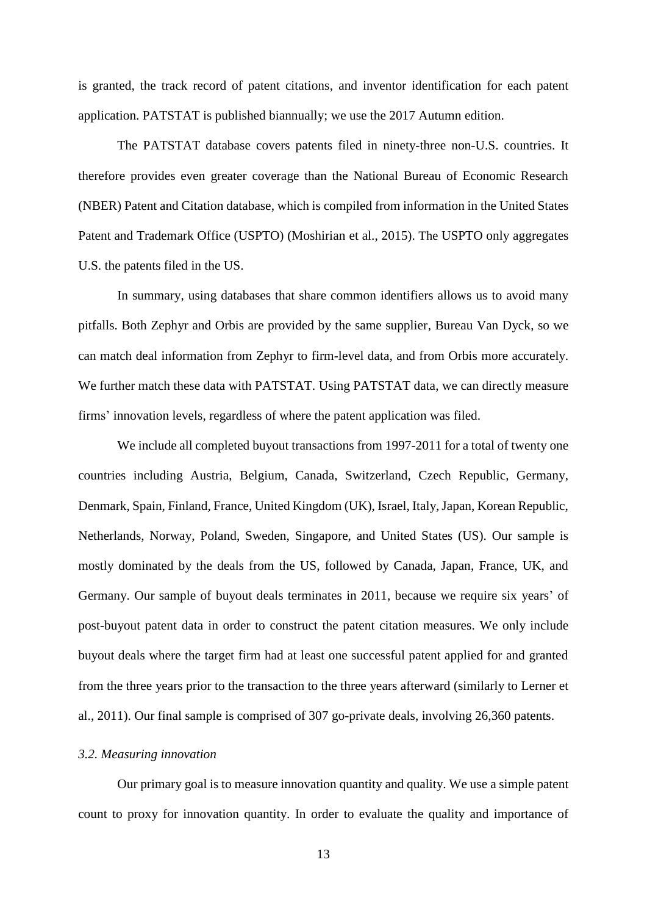is granted, the track record of patent citations, and inventor identification for each patent application. PATSTAT is published biannually; we use the 2017 Autumn edition.

The PATSTAT database covers patents filed in ninety-three non-U.S. countries. It therefore provides even greater coverage than the National Bureau of Economic Research (NBER) Patent and Citation database, which is compiled from information in the United States Patent and Trademark Office (USPTO) (Moshirian et al., 2015). The USPTO only aggregates U.S. the patents filed in the US.

In summary, using databases that share common identifiers allows us to avoid many pitfalls. Both Zephyr and Orbis are provided by the same supplier, Bureau Van Dyck, so we can match deal information from Zephyr to firm-level data, and from Orbis more accurately. We further match these data with PATSTAT. Using PATSTAT data, we can directly measure firms' innovation levels, regardless of where the patent application was filed.

We include all completed buyout transactions from 1997-2011 for a total of twenty one countries including Austria, Belgium, Canada, Switzerland, Czech Republic, Germany, Denmark, Spain, Finland, France, United Kingdom (UK), Israel, Italy, Japan, Korean Republic, Netherlands, Norway, Poland, Sweden, Singapore, and United States (US). Our sample is mostly dominated by the deals from the US, followed by Canada, Japan, France, UK, and Germany. Our sample of buyout deals terminates in 2011, because we require six years' of post-buyout patent data in order to construct the patent citation measures. We only include buyout deals where the target firm had at least one successful patent applied for and granted from the three years prior to the transaction to the three years afterward (similarly to Lerner et al., 2011). Our final sample is comprised of 307 go-private deals, involving 26,360 patents.

# *3.2. Measuring innovation*

Our primary goal is to measure innovation quantity and quality. We use a simple patent count to proxy for innovation quantity. In order to evaluate the quality and importance of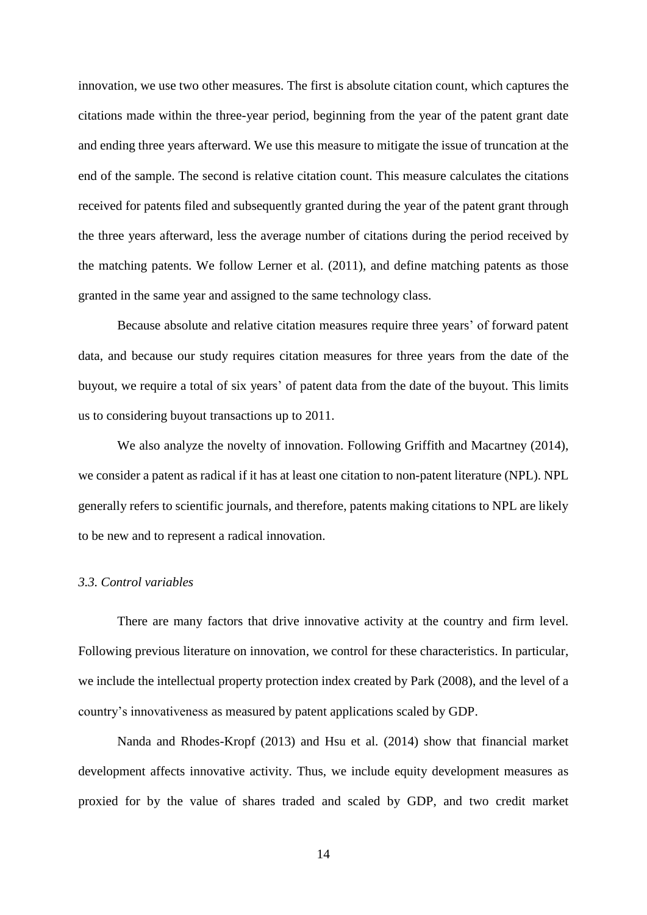innovation, we use two other measures. The first is absolute citation count, which captures the citations made within the three-year period, beginning from the year of the patent grant date and ending three years afterward. We use this measure to mitigate the issue of truncation at the end of the sample. The second is relative citation count. This measure calculates the citations received for patents filed and subsequently granted during the year of the patent grant through the three years afterward, less the average number of citations during the period received by the matching patents. We follow Lerner et al. (2011), and define matching patents as those granted in the same year and assigned to the same technology class.

Because absolute and relative citation measures require three years' of forward patent data, and because our study requires citation measures for three years from the date of the buyout, we require a total of six years' of patent data from the date of the buyout. This limits us to considering buyout transactions up to 2011.

We also analyze the novelty of innovation. Following Griffith and Macartney (2014), we consider a patent as radical if it has at least one citation to non-patent literature (NPL). NPL generally refers to scientific journals, and therefore, patents making citations to NPL are likely to be new and to represent a radical innovation.

### *3.3. Control variables*

There are many factors that drive innovative activity at the country and firm level. Following previous literature on innovation, we control for these characteristics. In particular, we include the intellectual property protection index created by Park (2008), and the level of a country's innovativeness as measured by patent applications scaled by GDP.

Nanda and Rhodes-Kropf (2013) and Hsu et al. (2014) show that financial market development affects innovative activity. Thus, we include equity development measures as proxied for by the value of shares traded and scaled by GDP, and two credit market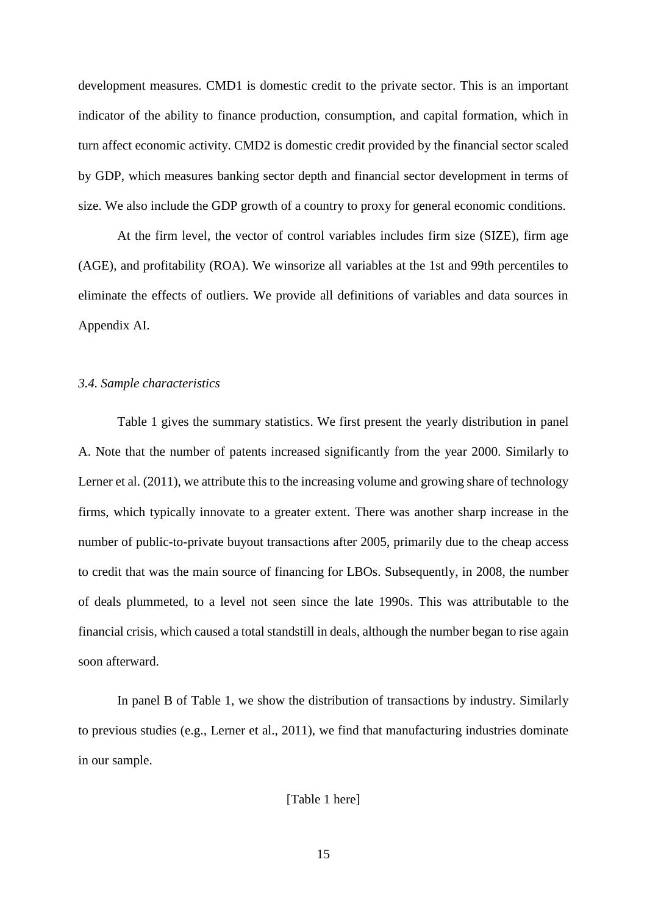development measures. CMD1 is domestic credit to the private sector. This is an important indicator of the ability to finance production, consumption, and capital formation, which in turn affect economic activity. CMD2 is domestic credit provided by the financial sector scaled by GDP, which measures banking sector depth and financial sector development in terms of size. We also include the GDP growth of a country to proxy for general economic conditions.

At the firm level, the vector of control variables includes firm size (SIZE), firm age (AGE), and profitability (ROA). We winsorize all variables at the 1st and 99th percentiles to eliminate the effects of outliers. We provide all definitions of variables and data sources in Appendix AI.

#### *3.4. Sample characteristics*

Table 1 gives the summary statistics. We first present the yearly distribution in panel A. Note that the number of patents increased significantly from the year 2000. Similarly to Lerner et al. (2011), we attribute this to the increasing volume and growing share of technology firms, which typically innovate to a greater extent. There was another sharp increase in the number of public-to-private buyout transactions after 2005, primarily due to the cheap access to credit that was the main source of financing for LBOs. Subsequently, in 2008, the number of deals plummeted, to a level not seen since the late 1990s. This was attributable to the financial crisis, which caused a total standstill in deals, although the number began to rise again soon afterward.

In panel B of Table 1, we show the distribution of transactions by industry. Similarly to previous studies (e.g., Lerner et al., 2011), we find that manufacturing industries dominate in our sample.

[Table 1 here]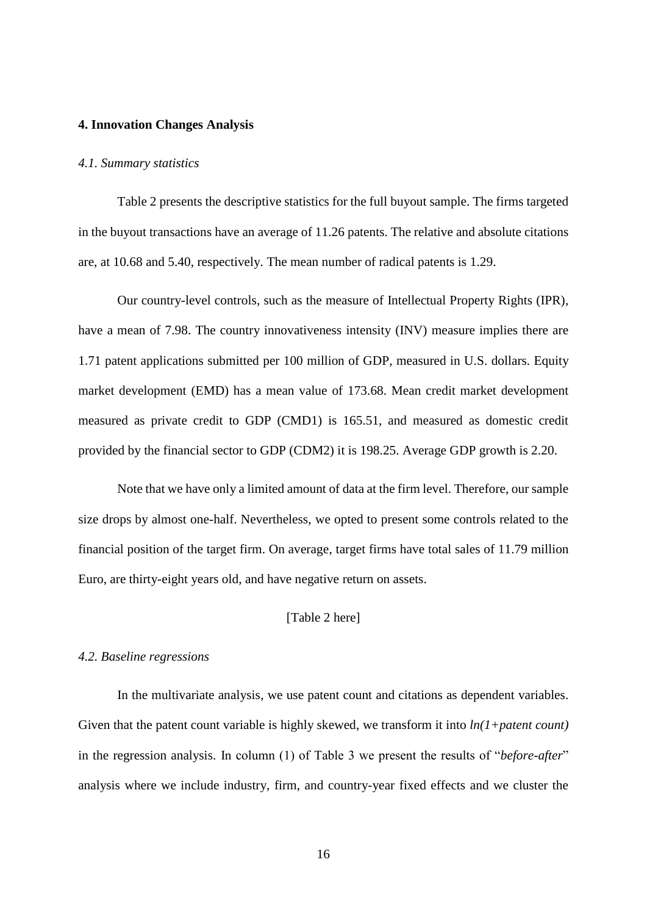#### **4. Innovation Changes Analysis**

#### *4.1. Summary statistics*

Table 2 presents the descriptive statistics for the full buyout sample. The firms targeted in the buyout transactions have an average of 11.26 patents. The relative and absolute citations are, at 10.68 and 5.40, respectively. The mean number of radical patents is 1.29.

Our country-level controls, such as the measure of Intellectual Property Rights (IPR), have a mean of 7.98. The country innovativeness intensity (INV) measure implies there are 1.71 patent applications submitted per 100 million of GDP, measured in U.S. dollars. Equity market development (EMD) has a mean value of 173.68. Mean credit market development measured as private credit to GDP (CMD1) is 165.51, and measured as domestic credit provided by the financial sector to GDP (CDM2) it is 198.25. Average GDP growth is 2.20.

Note that we have only a limited amount of data at the firm level. Therefore, our sample size drops by almost one-half. Nevertheless, we opted to present some controls related to the financial position of the target firm. On average, target firms have total sales of 11.79 million Euro, are thirty-eight years old, and have negative return on assets.

# [Table 2 here]

### *4.2. Baseline regressions*

In the multivariate analysis, we use patent count and citations as dependent variables. Given that the patent count variable is highly skewed, we transform it into *ln(1+patent count)* in the regression analysis. In column (1) of Table 3 we present the results of "*before-after*" analysis where we include industry, firm, and country-year fixed effects and we cluster the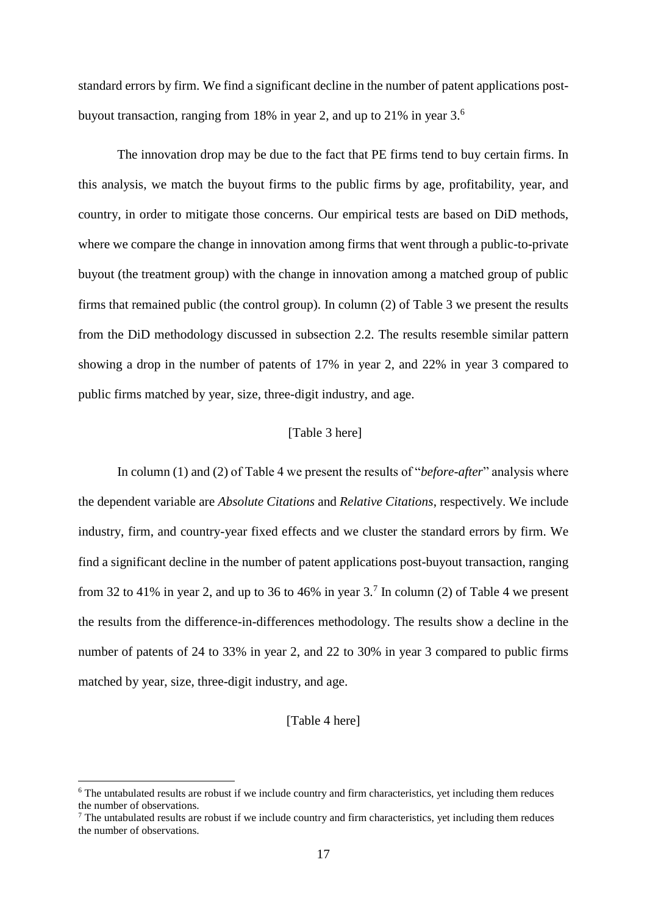standard errors by firm. We find a significant decline in the number of patent applications postbuyout transaction, ranging from 18% in year 2, and up to 21% in year  $3<sup>6</sup>$ 

The innovation drop may be due to the fact that PE firms tend to buy certain firms. In this analysis, we match the buyout firms to the public firms by age, profitability, year, and country, in order to mitigate those concerns. Our empirical tests are based on DiD methods, where we compare the change in innovation among firms that went through a public-to-private buyout (the treatment group) with the change in innovation among a matched group of public firms that remained public (the control group). In column (2) of Table 3 we present the results from the DiD methodology discussed in subsection 2.2. The results resemble similar pattern showing a drop in the number of patents of 17% in year 2, and 22% in year 3 compared to public firms matched by year, size, three-digit industry, and age.

# [Table 3 here]

In column (1) and (2) of Table 4 we present the results of "*before-after*" analysis where the dependent variable are *Absolute Citations* and *Relative Citations*, respectively. We include industry, firm, and country-year fixed effects and we cluster the standard errors by firm. We find a significant decline in the number of patent applications post-buyout transaction, ranging from 32 to 41% in year 2, and up to 36 to 46% in year  $3<sup>7</sup>$  In column (2) of Table 4 we present the results from the difference-in-differences methodology. The results show a decline in the number of patents of 24 to 33% in year 2, and 22 to 30% in year 3 compared to public firms matched by year, size, three-digit industry, and age.

# [Table 4 here]

**.** 

<sup>&</sup>lt;sup>6</sup> The untabulated results are robust if we include country and firm characteristics, yet including them reduces the number of observations.

 $<sup>7</sup>$  The untabulated results are robust if we include country and firm characteristics, yet including them reduces</sup> the number of observations.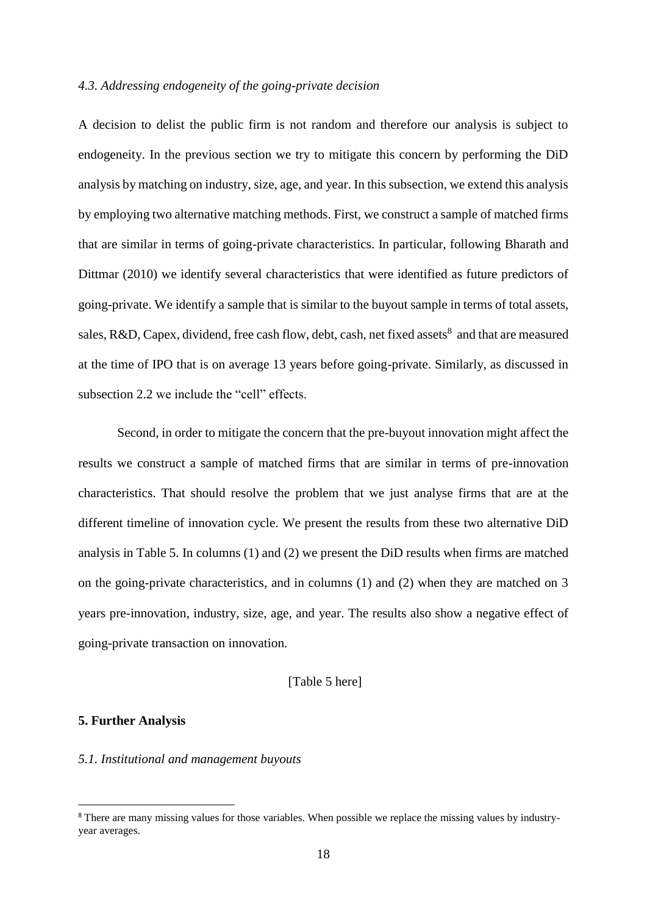### *4.3. Addressing endogeneity of the going-private decision*

A decision to delist the public firm is not random and therefore our analysis is subject to endogeneity. In the previous section we try to mitigate this concern by performing the DiD analysis by matching on industry, size, age, and year. In this subsection, we extend this analysis by employing two alternative matching methods. First, we construct a sample of matched firms that are similar in terms of going-private characteristics. In particular, following Bharath and Dittmar (2010) we identify several characteristics that were identified as future predictors of going-private. We identify a sample that is similar to the buyout sample in terms of total assets, sales, R&D, Capex, dividend, free cash flow, debt, cash, net fixed assets<sup>8</sup> and that are measured at the time of IPO that is on average 13 years before going-private. Similarly, as discussed in subsection 2.2 we include the "cell" effects.

Second, in order to mitigate the concern that the pre-buyout innovation might affect the results we construct a sample of matched firms that are similar in terms of pre-innovation characteristics. That should resolve the problem that we just analyse firms that are at the different timeline of innovation cycle. We present the results from these two alternative DiD analysis in Table 5. In columns (1) and (2) we present the DiD results when firms are matched on the going-private characteristics, and in columns (1) and (2) when they are matched on 3 years pre-innovation, industry, size, age, and year. The results also show a negative effect of going-private transaction on innovation.

# [Table 5 here]

# **5. Further Analysis**

**.** 

## *5.1. Institutional and management buyouts*

<sup>8</sup> There are many missing values for those variables. When possible we replace the missing values by industryyear averages.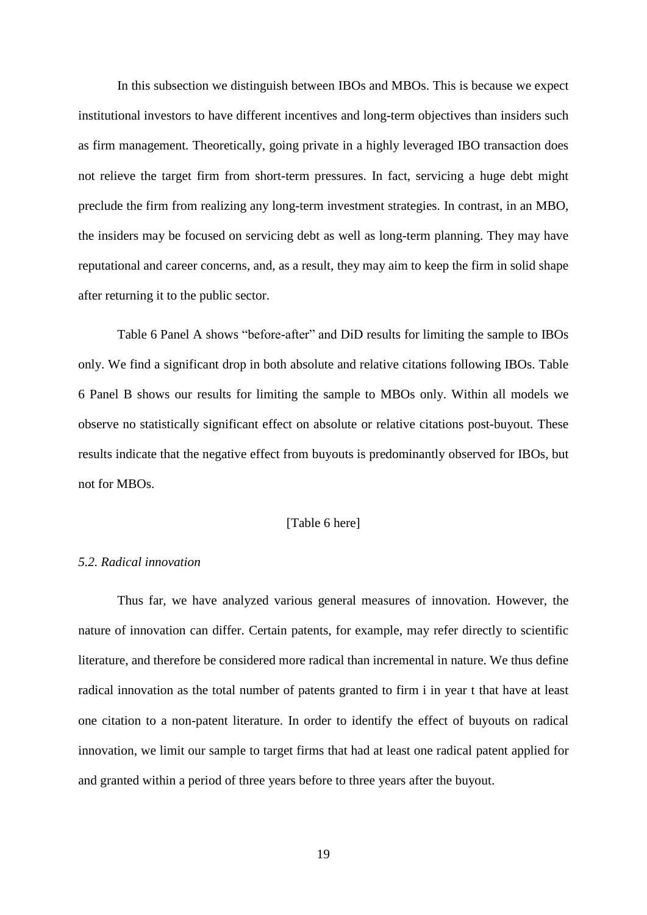In this subsection we distinguish between IBOs and MBOs. This is because we expect institutional investors to have different incentives and long-term objectives than insiders such as firm management. Theoretically, going private in a highly leveraged IBO transaction does not relieve the target firm from short-term pressures. In fact, servicing a huge debt might preclude the firm from realizing any long-term investment strategies. In contrast, in an MBO, the insiders may be focused on servicing debt as well as long-term planning. They may have reputational and career concerns, and, as a result, they may aim to keep the firm in solid shape after returning it to the public sector.

Table 6 Panel A shows "before-after" and DiD results for limiting the sample to IBOs only. We find a significant drop in both absolute and relative citations following IBOs. Table 6 Panel B shows our results for limiting the sample to MBOs only. Within all models we observe no statistically significant effect on absolute or relative citations post-buyout. These results indicate that the negative effect from buyouts is predominantly observed for IBOs, but not for MBOs.

# [Table 6 here]

#### *5.2. Radical innovation*

Thus far, we have analyzed various general measures of innovation. However, the nature of innovation can differ. Certain patents, for example, may refer directly to scientific literature, and therefore be considered more radical than incremental in nature. We thus define radical innovation as the total number of patents granted to firm i in year t that have at least one citation to a non-patent literature. In order to identify the effect of buyouts on radical innovation, we limit our sample to target firms that had at least one radical patent applied for and granted within a period of three years before to three years after the buyout.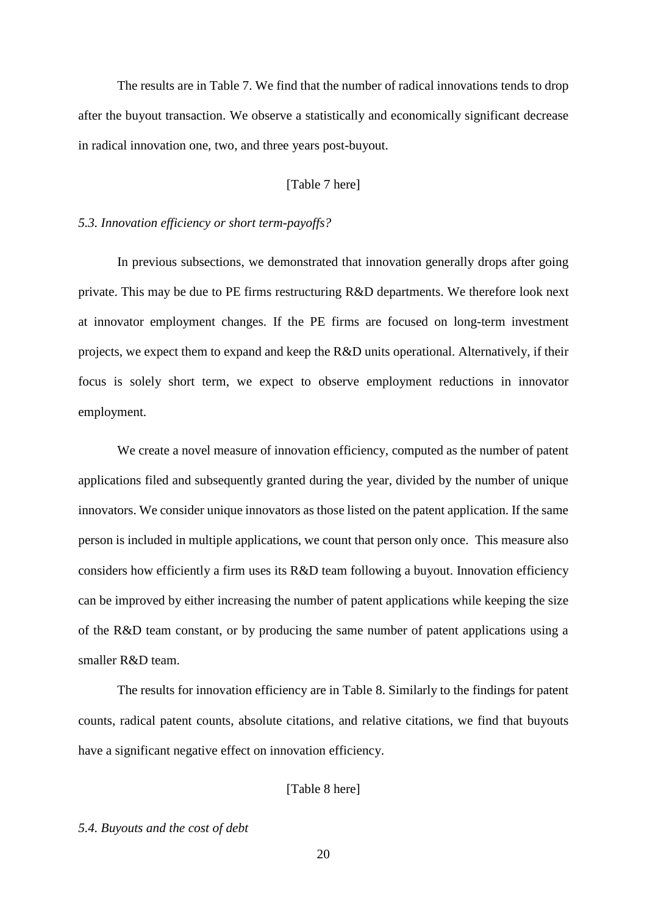The results are in Table 7. We find that the number of radical innovations tends to drop after the buyout transaction. We observe a statistically and economically significant decrease in radical innovation one, two, and three years post-buyout.

# [Table 7 here]

# *5.3. Innovation efficiency or short term-payoffs?*

In previous subsections, we demonstrated that innovation generally drops after going private. This may be due to PE firms restructuring R&D departments. We therefore look next at innovator employment changes. If the PE firms are focused on long-term investment projects, we expect them to expand and keep the R&D units operational. Alternatively, if their focus is solely short term, we expect to observe employment reductions in innovator employment.

We create a novel measure of innovation efficiency, computed as the number of patent applications filed and subsequently granted during the year, divided by the number of unique innovators. We consider unique innovators as those listed on the patent application. If the same person is included in multiple applications, we count that person only once. This measure also considers how efficiently a firm uses its R&D team following a buyout. Innovation efficiency can be improved by either increasing the number of patent applications while keeping the size of the R&D team constant, or by producing the same number of patent applications using a smaller R&D team.

The results for innovation efficiency are in Table 8. Similarly to the findings for patent counts, radical patent counts, absolute citations, and relative citations, we find that buyouts have a significant negative effect on innovation efficiency.

[Table 8 here]

### *5.4. Buyouts and the cost of debt*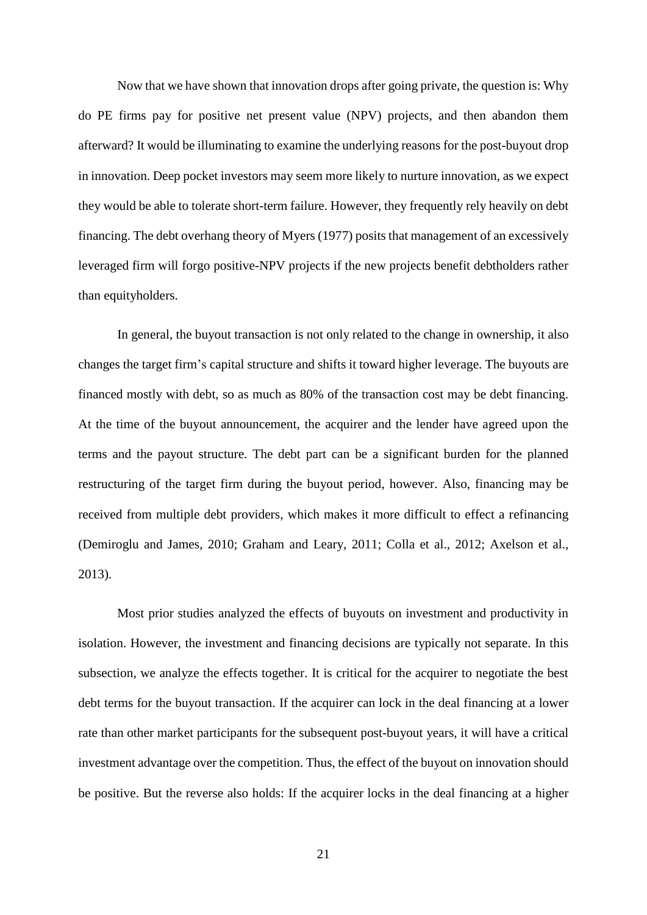Now that we have shown that innovation drops after going private, the question is: Why do PE firms pay for positive net present value (NPV) projects, and then abandon them afterward? It would be illuminating to examine the underlying reasons for the post-buyout drop in innovation. Deep pocket investors may seem more likely to nurture innovation, as we expect they would be able to tolerate short-term failure. However, they frequently rely heavily on debt financing. The debt overhang theory of Myers (1977) posits that management of an excessively leveraged firm will forgo positive-NPV projects if the new projects benefit debtholders rather than equityholders.

In general, the buyout transaction is not only related to the change in ownership, it also changes the target firm's capital structure and shifts it toward higher leverage. The buyouts are financed mostly with debt, so as much as 80% of the transaction cost may be debt financing. At the time of the buyout announcement, the acquirer and the lender have agreed upon the terms and the payout structure. The debt part can be a significant burden for the planned restructuring of the target firm during the buyout period, however. Also, financing may be received from multiple debt providers, which makes it more difficult to effect a refinancing (Demiroglu and James, 2010; Graham and Leary, 2011; Colla et al., 2012; Axelson et al., 2013).

Most prior studies analyzed the effects of buyouts on investment and productivity in isolation. However, the investment and financing decisions are typically not separate. In this subsection, we analyze the effects together. It is critical for the acquirer to negotiate the best debt terms for the buyout transaction. If the acquirer can lock in the deal financing at a lower rate than other market participants for the subsequent post-buyout years, it will have a critical investment advantage over the competition. Thus, the effect of the buyout on innovation should be positive. But the reverse also holds: If the acquirer locks in the deal financing at a higher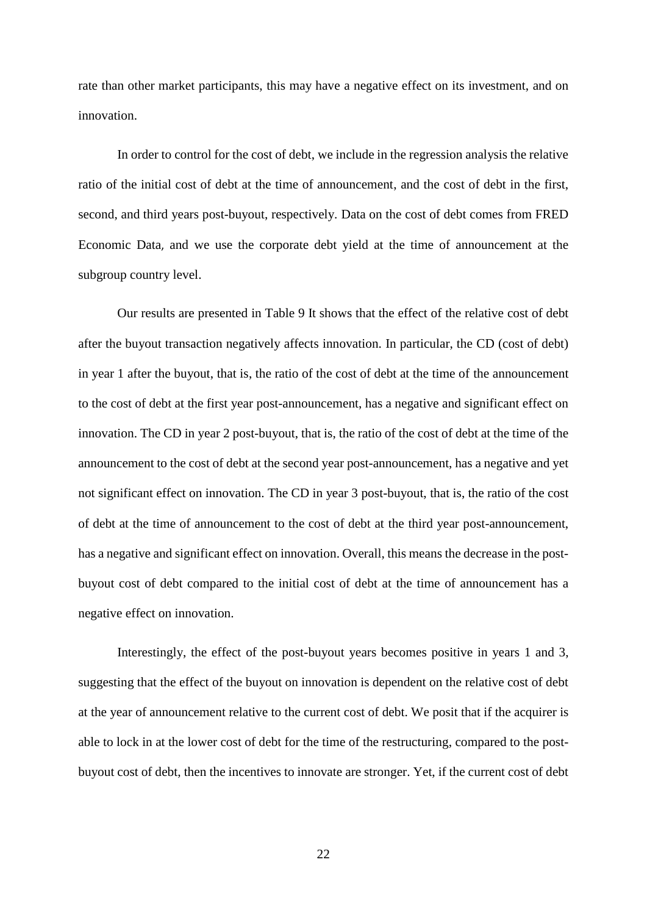rate than other market participants, this may have a negative effect on its investment, and on innovation.

In order to control for the cost of debt, we include in the regression analysis the relative ratio of the initial cost of debt at the time of announcement, and the cost of debt in the first, second, and third years post-buyout, respectively. Data on the cost of debt comes from [FRED](https://fred.stlouisfed.org/)  [Economic Data](https://fred.stlouisfed.org/), and we use the corporate debt yield at the time of announcement at the subgroup country level.

Our results are presented in Table 9 It shows that the effect of the relative cost of debt after the buyout transaction negatively affects innovation. In particular, the CD (cost of debt) in year 1 after the buyout, that is, the ratio of the cost of debt at the time of the announcement to the cost of debt at the first year post-announcement, has a negative and significant effect on innovation. The CD in year 2 post-buyout, that is, the ratio of the cost of debt at the time of the announcement to the cost of debt at the second year post-announcement, has a negative and yet not significant effect on innovation. The CD in year 3 post-buyout, that is, the ratio of the cost of debt at the time of announcement to the cost of debt at the third year post-announcement, has a negative and significant effect on innovation. Overall, this means the decrease in the postbuyout cost of debt compared to the initial cost of debt at the time of announcement has a negative effect on innovation.

Interestingly, the effect of the post-buyout years becomes positive in years 1 and 3, suggesting that the effect of the buyout on innovation is dependent on the relative cost of debt at the year of announcement relative to the current cost of debt. We posit that if the acquirer is able to lock in at the lower cost of debt for the time of the restructuring, compared to the postbuyout cost of debt, then the incentives to innovate are stronger. Yet, if the current cost of debt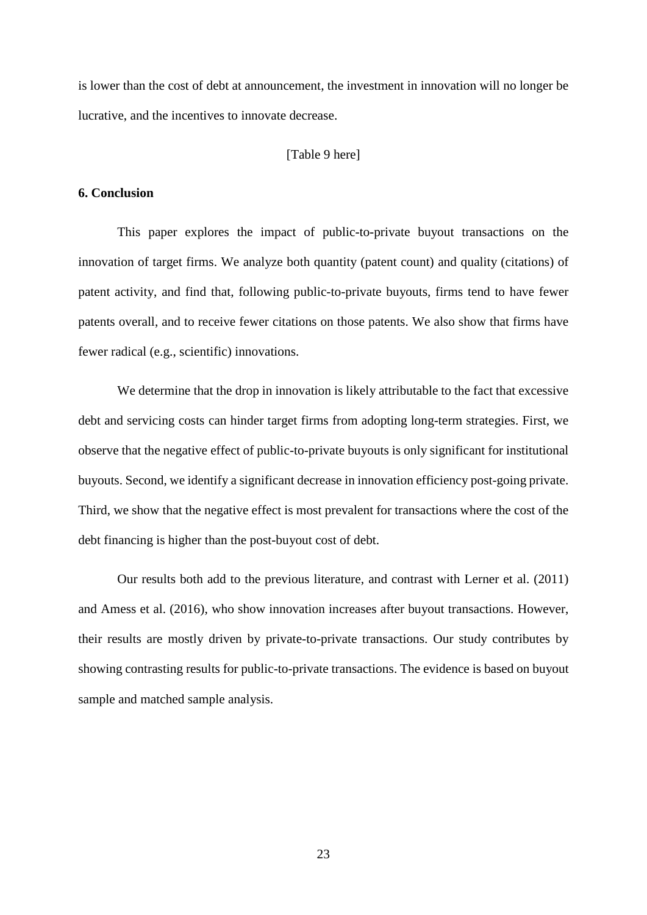is lower than the cost of debt at announcement, the investment in innovation will no longer be lucrative, and the incentives to innovate decrease.

## [Table 9 here]

### **6. Conclusion**

This paper explores the impact of public-to-private buyout transactions on the innovation of target firms. We analyze both quantity (patent count) and quality (citations) of patent activity, and find that, following public-to-private buyouts, firms tend to have fewer patents overall, and to receive fewer citations on those patents. We also show that firms have fewer radical (e.g., scientific) innovations.

We determine that the drop in innovation is likely attributable to the fact that excessive debt and servicing costs can hinder target firms from adopting long-term strategies. First, we observe that the negative effect of public-to-private buyouts is only significant for institutional buyouts. Second, we identify a significant decrease in innovation efficiency post-going private. Third, we show that the negative effect is most prevalent for transactions where the cost of the debt financing is higher than the post-buyout cost of debt.

Our results both add to the previous literature, and contrast with Lerner et al. (2011) and Amess et al. (2016), who show innovation increases after buyout transactions. However, their results are mostly driven by private-to-private transactions. Our study contributes by showing contrasting results for public-to-private transactions. The evidence is based on buyout sample and matched sample analysis.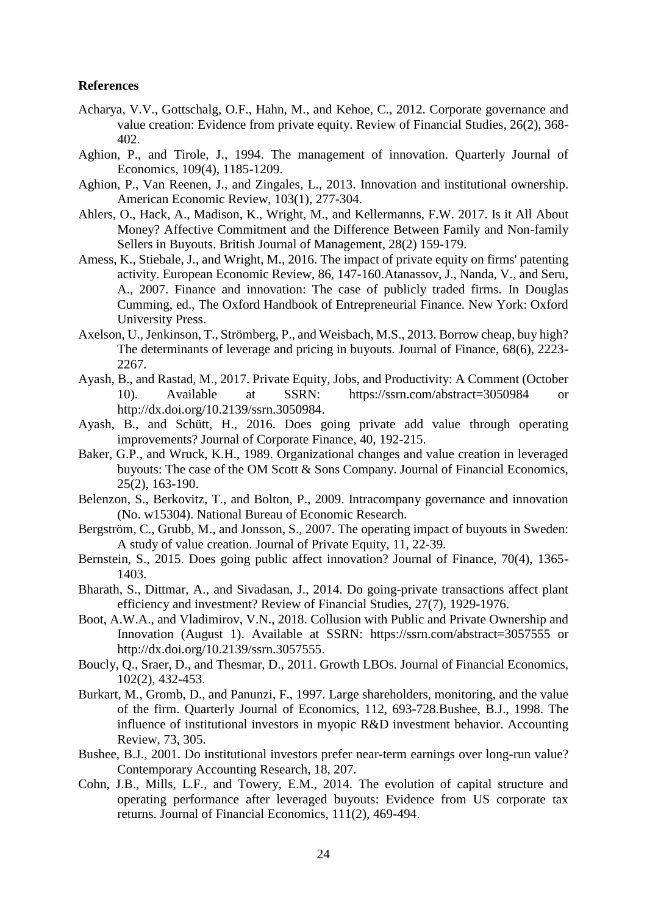## **References**

- Acharya, V.V., Gottschalg, O.F., Hahn, M., and Kehoe, C., 2012. Corporate governance and value creation: Evidence from private equity. Review of Financial Studies, 26(2), 368- 402.
- Aghion, P., and Tirole, J., 1994. The management of innovation. Quarterly Journal of Economics, 109(4), 1185-1209.
- Aghion, P., Van Reenen, J., and Zingales, L., 2013. Innovation and institutional ownership. American Economic Review, 103(1), 277-304.
- Ahlers, O., Hack, A., Madison, K., Wright, M., and Kellermanns, F.W. 2017. Is it All About Money? Affective Commitment and the Difference Between Family and Non-family Sellers in Buyouts. British Journal of Management, 28(2) 159-179.
- Amess, K., Stiebale, J., and Wright, M., 2016. The impact of private equity on firms' patenting activity. European Economic Review, 86, 147-160.Atanassov, J., Nanda, V., and Seru, A., 2007. Finance and innovation: The case of publicly traded firms. In Douglas Cumming, ed., The Oxford Handbook of Entrepreneurial Finance. New York: Oxford University Press.
- Axelson, U., Jenkinson, T., Strömberg, P., and Weisbach, M.S., 2013. Borrow cheap, buy high? The determinants of leverage and pricing in buyouts. Journal of Finance, 68(6), 2223- 2267.
- Ayash, B., and Rastad, M., 2017. Private Equity, Jobs, and Productivity: A Comment (October 10). Available at SSRN: <https://ssrn.com/abstract=3050984> or [http://dx.doi.org/10.2139/ssrn.3050984.](https://dx.doi.org/10.2139/ssrn.3050984)
- Ayash, B., and Schütt, H., 2016. Does going private add value through operating improvements? Journal of Corporate Finance, 40, 192-215.
- Baker, G.P., and Wruck, K.H., 1989. Organizational changes and value creation in leveraged buyouts: The case of the OM Scott & Sons Company. Journal of Financial Economics, 25(2), 163-190.
- Belenzon, S., Berkovitz, T., and Bolton, P., 2009. Intracompany governance and innovation (No. w15304). National Bureau of Economic Research.
- Bergström, C., Grubb, M., and Jonsson, S., 2007. The operating impact of buyouts in Sweden: A study of value creation. Journal of Private Equity, 11, 22-39.
- Bernstein, S., 2015. Does going public affect innovation? Journal of Finance, 70(4), 1365- 1403.
- Bharath, S., Dittmar, A., and Sivadasan, J., 2014. Do going-private transactions affect plant efficiency and investment? Review of Financial Studies, 27(7), 1929-1976.
- Boot, A.W.A., and Vladimirov, V.N., 2018. Collusion with Public and Private Ownership and Innovation (August 1). Available at SSRN: <https://ssrn.com/abstract=3057555> or [http://dx.doi.org/10.2139/ssrn.3057555.](https://dx.doi.org/10.2139/ssrn.3057555)
- Boucly, Q., Sraer, D., and Thesmar, D., 2011. Growth LBOs. Journal of Financial Economics, 102(2), 432-453.
- Burkart, M., Gromb, D., and Panunzi, F., 1997. Large shareholders, monitoring, and the value of the firm. Quarterly Journal of Economics, 112, 693-728.Bushee, B.J., 1998. The influence of institutional investors in myopic R&D investment behavior. Accounting Review, 73, 305.
- Bushee, B.J., 2001. Do institutional investors prefer near-term earnings over long-run value? Contemporary Accounting Research, 18, 207.
- Cohn, J.B., Mills, L.F., and Towery, E.M., 2014. The evolution of capital structure and operating performance after leveraged buyouts: Evidence from US corporate tax returns. Journal of Financial Economics, 111(2), 469-494.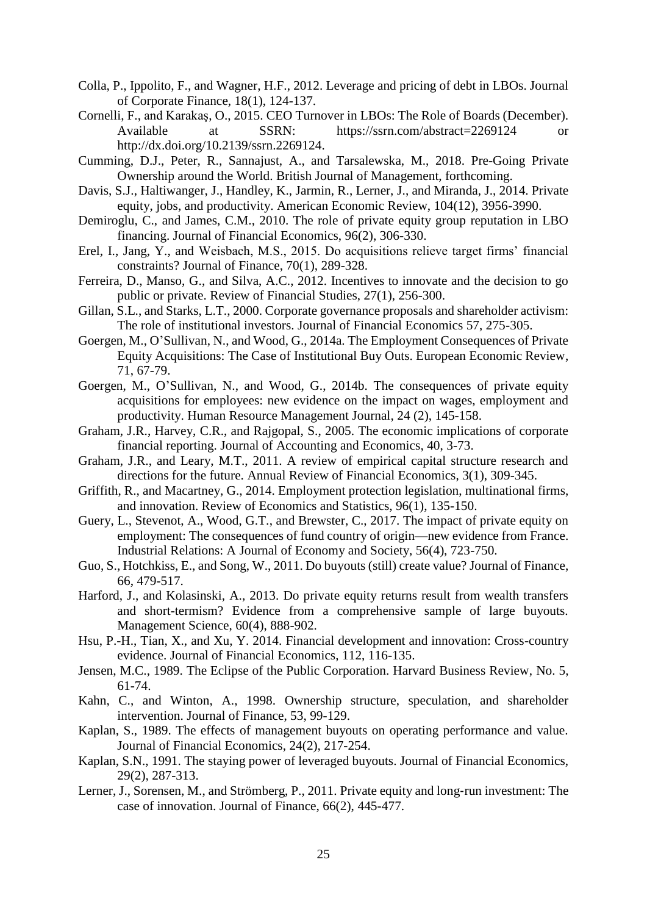- Colla, P., Ippolito, F., and Wagner, H.F., 2012. Leverage and pricing of debt in LBOs. Journal of Corporate Finance, 18(1), 124-137.
- Cornelli, F., and Karakaş, O., 2015. CEO Turnover in LBOs: The Role of Boards (December). Available at SSRN: <https://ssrn.com/abstract=2269124> or [http://dx.doi.org/10.2139/ssrn.2269124.](https://dx.doi.org/10.2139/ssrn.2269124)
- Cumming, D.J., Peter, R., Sannajust, A., and Tarsalewska, M., 2018. Pre-Going Private Ownership around the World. British Journal of Management, forthcoming.
- Davis, S.J., Haltiwanger, J., Handley, K., Jarmin, R., Lerner, J., and Miranda, J., 2014. Private equity, jobs, and productivity. American Economic Review, 104(12), 3956-3990.
- Demiroglu, C., and James, C.M., 2010. The role of private equity group reputation in LBO financing. Journal of Financial Economics, 96(2), 306-330.
- Erel, I., Jang, Y., and Weisbach, M.S., 2015. Do acquisitions relieve target firms' financial constraints? Journal of Finance, 70(1), 289-328.
- Ferreira, D., Manso, G., and Silva, A.C., 2012. Incentives to innovate and the decision to go public or private. Review of Financial Studies, 27(1), 256-300.
- Gillan, S.L., and Starks, L.T., 2000. Corporate governance proposals and shareholder activism: The role of institutional investors. Journal of Financial Economics 57, 275-305.
- Goergen, M., O'Sullivan, N., and Wood, G., 2014a. The Employment Consequences of Private Equity Acquisitions: The Case of Institutional Buy Outs. European Economic Review, 71, 67-79.
- Goergen, M., O'Sullivan, N., and Wood, G., 2014b. The consequences of private equity acquisitions for employees: new evidence on the impact on wages, employment and productivity. Human Resource Management Journal, 24 (2), 145-158.
- Graham, J.R., Harvey, C.R., and Rajgopal, S., 2005. The economic implications of corporate financial reporting. Journal of Accounting and Economics, 40, 3-73.
- Graham, J.R., and Leary, M.T., 2011. A review of empirical capital structure research and directions for the future. Annual Review of Financial Economics, 3(1), 309-345.
- Griffith, R., and Macartney, G., 2014. Employment protection legislation, multinational firms, and innovation. Review of Economics and Statistics, 96(1), 135-150.
- Guery, L., Stevenot, A., Wood, G.T., and Brewster, C., 2017. The impact of private equity on employment: The consequences of fund country of origin—new evidence from France. Industrial Relations: A Journal of Economy and Society, 56(4), 723-750.
- Guo, S., Hotchkiss, E., and Song, W., 2011. Do buyouts (still) create value? Journal of Finance, 66, 479-517.
- Harford, J., and Kolasinski, A., 2013. Do private equity returns result from wealth transfers and short-termism? Evidence from a comprehensive sample of large buyouts. Management Science, 60(4), 888-902.
- Hsu, P.-H., Tian, X., and Xu, Y. 2014. Financial development and innovation: Cross-country evidence. Journal of Financial Economics, 112, 116-135.
- Jensen, M.C., 1989. The Eclipse of the Public Corporation. Harvard Business Review, No. 5, 61-74.
- Kahn, C., and Winton, A., 1998. Ownership structure, speculation, and shareholder intervention. Journal of Finance, 53, 99-129.
- Kaplan, S., 1989. The effects of management buyouts on operating performance and value. Journal of Financial Economics, 24(2), 217-254.
- Kaplan, S.N., 1991. The staying power of leveraged buyouts. Journal of Financial Economics, 29(2), 287-313.
- Lerner, J., Sorensen, M., and Strömberg, P., 2011. Private equity and long-run investment: The case of innovation. Journal of Finance, 66(2), 445-477.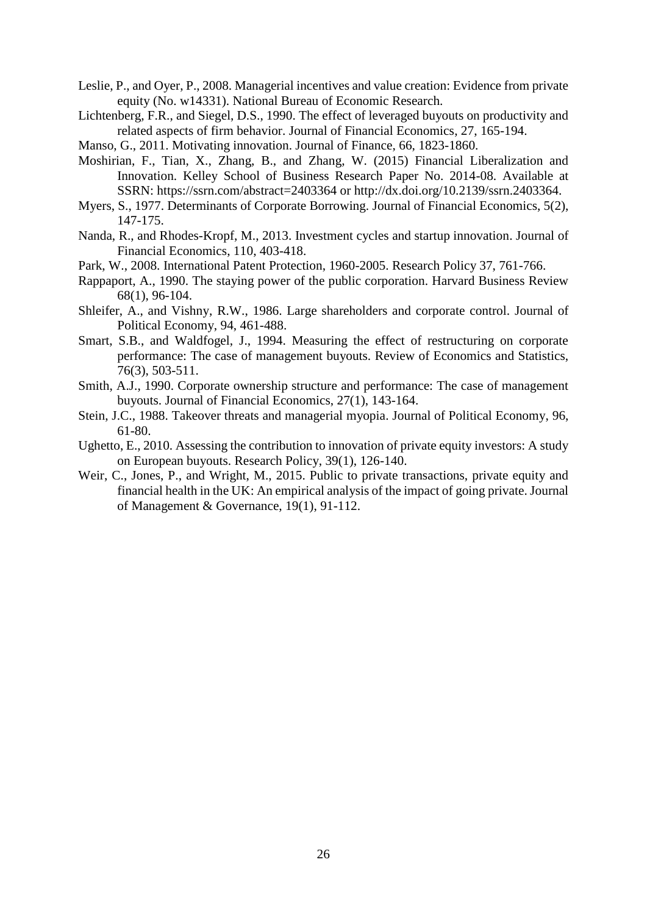- Leslie, P., and Oyer, P., 2008. Managerial incentives and value creation: Evidence from private equity (No. w14331). National Bureau of Economic Research.
- Lichtenberg, F.R., and Siegel, D.S., 1990. The effect of leveraged buyouts on productivity and related aspects of firm behavior. Journal of Financial Economics, 27, 165-194.
- Manso, G., 2011. Motivating innovation. Journal of Finance, 66, 1823-1860.
- Moshirian, F., Tian, X., Zhang, B., and Zhang, W. (2015) Financial Liberalization and Innovation. Kelley School of Business Research Paper No. 2014-08. Available at SSRN:<https://ssrn.com/abstract=2403364> or [http://dx.doi.org/10.2139/ssrn.2403364.](http://dx.doi.org/10.2139/ssrn.2403364)
- Myers, S., 1977. Determinants of Corporate Borrowing. [Journal of Financial Economics,](https://en.wikipedia.org/wiki/Journal_of_Financial_Economics) 5(2), 147-175.
- Nanda, R., and Rhodes-Kropf, M., 2013. Investment cycles and startup innovation. Journal of Financial Economics, 110, 403-418.
- Park, W., 2008. International Patent Protection, 1960-2005. Research Policy 37, 761-766.
- Rappaport, A., 1990. The staying power of the public corporation. Harvard Business Review 68(1), 96-104.
- Shleifer, A., and Vishny, R.W., 1986. Large shareholders and corporate control. Journal of Political Economy, 94, 461-488.
- Smart, S.B., and Waldfogel, J., 1994. Measuring the effect of restructuring on corporate performance: The case of management buyouts. Review of Economics and Statistics, 76(3), 503-511.
- Smith, A.J., 1990. Corporate ownership structure and performance: The case of management buyouts. Journal of Financial Economics, 27(1), 143-164.
- Stein, J.C., 1988. Takeover threats and managerial myopia. Journal of Political Economy, 96, 61-80.
- Ughetto, E., 2010. Assessing the contribution to innovation of private equity investors: A study on European buyouts. Research Policy, 39(1), 126-140.
- Weir, C., Jones, P., and Wright, M., 2015. Public to private transactions, private equity and financial health in the UK: An empirical analysis of the impact of going private. Journal of Management & Governance, 19(1), 91-112.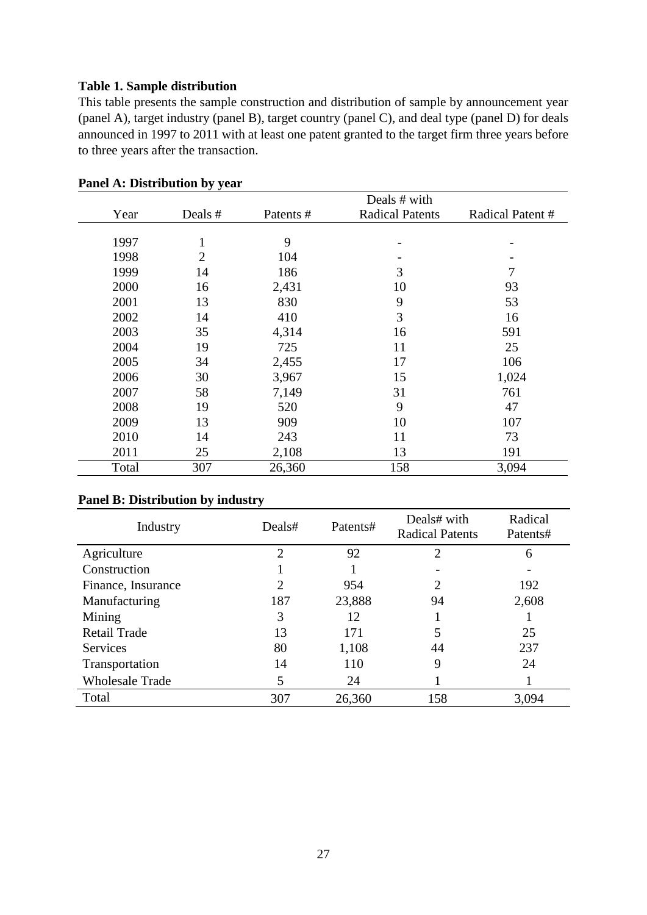# **Table 1. Sample distribution**

This table presents the sample construction and distribution of sample by announcement year (panel A), target industry (panel B), target country (panel C), and deal type (panel D) for deals announced in 1997 to 2011 with at least one patent granted to the target firm three years before to three years after the transaction.

|       |         |           | Deals # with           |                 |
|-------|---------|-----------|------------------------|-----------------|
| Year  | Deals # | Patents # | <b>Radical Patents</b> | Radical Patent# |
|       |         |           |                        |                 |
| 1997  | T       | 9         |                        |                 |
| 1998  | 2       | 104       |                        |                 |
| 1999  | 14      | 186       | 3                      |                 |
| 2000  | 16      | 2,431     | 10                     | 93              |
| 2001  | 13      | 830       | 9                      | 53              |
| 2002  | 14      | 410       | 3                      | 16              |
| 2003  | 35      | 4,314     | 16                     | 591             |
| 2004  | 19      | 725       | 11                     | 25              |
| 2005  | 34      | 2,455     | 17                     | 106             |
| 2006  | 30      | 3,967     | 15                     | 1,024           |
| 2007  | 58      | 7,149     | 31                     | 761             |
| 2008  | 19      | 520       | 9                      | 47              |
| 2009  | 13      | 909       | 10                     | 107             |
| 2010  | 14      | 243       | 11                     | 73              |
| 2011  | 25      | 2,108     | 13                     | 191             |
| Total | 307     | 26,360    | 158                    | 3,094           |

**Panel A: Distribution by year**

# **Panel B: Distribution by industry**

| Industry               | Deals#<br>Patents#          |        | Deals# with<br><b>Radical Patents</b> | Radical<br>Patents# |
|------------------------|-----------------------------|--------|---------------------------------------|---------------------|
| Agriculture            | $\mathcal{D}_{\mathcal{L}}$ | 92     | $\overline{2}$                        | 6                   |
| Construction           |                             |        |                                       |                     |
| Finance, Insurance     | $\overline{c}$              | 954    | $\overline{2}$                        | 192                 |
| Manufacturing          | 187                         | 23,888 | 94                                    | 2,608               |
| Mining                 | 3                           | 12     |                                       |                     |
| <b>Retail Trade</b>    | 13                          | 171    | 5                                     | 25                  |
| <b>Services</b>        | 80                          | 1,108  | 44                                    | 237                 |
| Transportation         | 14                          | 110    | 9                                     | 24                  |
| <b>Wholesale Trade</b> | 5                           | 24     |                                       |                     |
| Total                  | 307                         | 26,360 | 158                                   | 3,094               |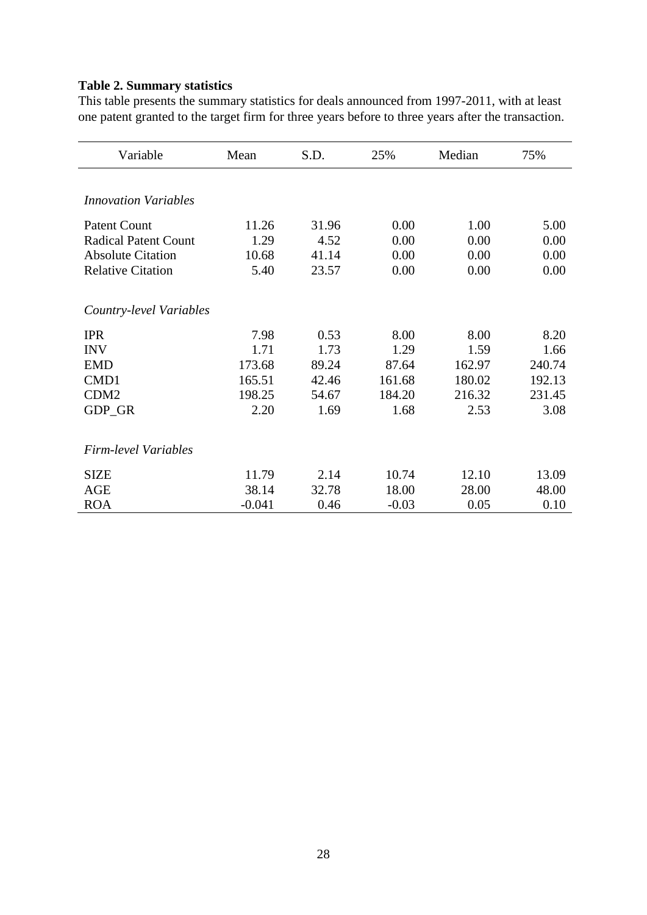# **Table 2. Summary statistics**

This table presents the summary statistics for deals announced from 1997-2011, with at least one patent granted to the target firm for three years before to three years after the transaction.

| Variable                    | Mean     | S.D.  | 25%     | Median | 75%    |
|-----------------------------|----------|-------|---------|--------|--------|
|                             |          |       |         |        |        |
| <i>Innovation Variables</i> |          |       |         |        |        |
| <b>Patent Count</b>         | 11.26    | 31.96 | 0.00    | 1.00   | 5.00   |
| <b>Radical Patent Count</b> | 1.29     | 4.52  | 0.00    | 0.00   | 0.00   |
| <b>Absolute Citation</b>    | 10.68    | 41.14 | 0.00    | 0.00   | 0.00   |
| <b>Relative Citation</b>    | 5.40     | 23.57 | 0.00    | 0.00   | 0.00   |
| Country-level Variables     |          |       |         |        |        |
| <b>IPR</b>                  | 7.98     | 0.53  | 8.00    | 8.00   | 8.20   |
| <b>INV</b>                  | 1.71     | 1.73  | 1.29    | 1.59   | 1.66   |
| <b>EMD</b>                  | 173.68   | 89.24 | 87.64   | 162.97 | 240.74 |
| CMD1                        | 165.51   | 42.46 | 161.68  | 180.02 | 192.13 |
| CDM <sub>2</sub>            | 198.25   | 54.67 | 184.20  | 216.32 | 231.45 |
| GDP_GR                      | 2.20     | 1.69  | 1.68    | 2.53   | 3.08   |
| Firm-level Variables        |          |       |         |        |        |
| <b>SIZE</b>                 | 11.79    | 2.14  | 10.74   | 12.10  | 13.09  |
| AGE                         | 38.14    | 32.78 | 18.00   | 28.00  | 48.00  |
| <b>ROA</b>                  | $-0.041$ | 0.46  | $-0.03$ | 0.05   | 0.10   |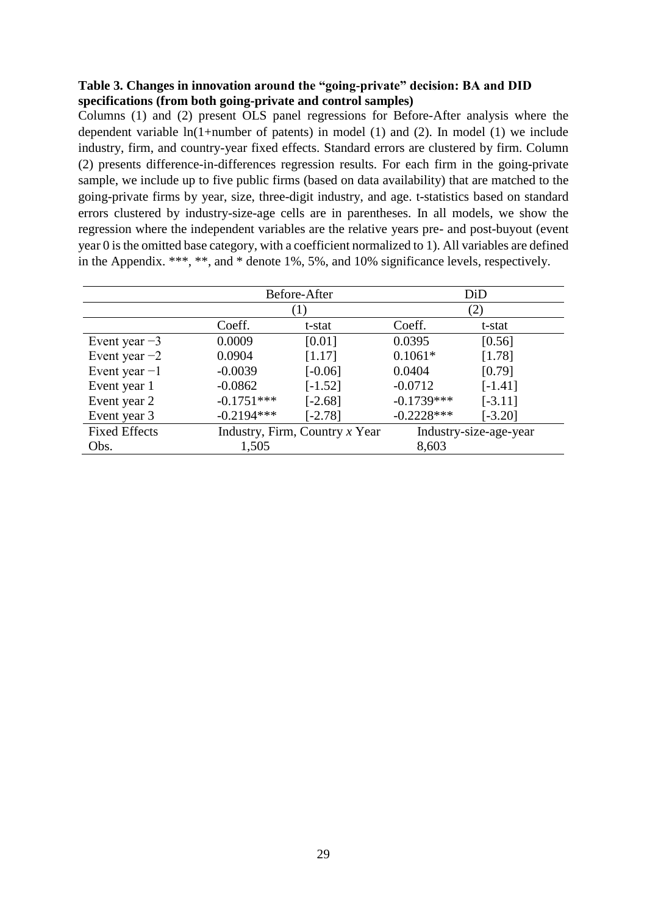# **Table 3. Changes in innovation around the "going-private" decision: BA and DID specifications (from both going-private and control samples)**

Columns (1) and (2) present OLS panel regressions for Before-After analysis where the dependent variable ln(1+number of patents) in model (1) and (2). In model (1) we include industry, firm, and country-year fixed effects. Standard errors are clustered by firm. Column (2) presents difference-in-differences regression results. For each firm in the going-private sample, we include up to five public firms (based on data availability) that are matched to the going-private firms by year, size, three-digit industry, and age. t-statistics based on standard errors clustered by industry-size-age cells are in parentheses. In all models, we show the regression where the independent variables are the relative years pre- and post-buyout (event year 0 is the omitted base category, with a coefficient normalized to 1). All variables are defined in the Appendix. \*\*\*, \*\*, and \* denote 1%, 5%, and 10% significance levels, respectively.

|                      |              | Before-After                     | DiD                    |           |  |  |
|----------------------|--------------|----------------------------------|------------------------|-----------|--|--|
|                      |              |                                  | $\left( 2\right)$      |           |  |  |
|                      | Coeff.       | t-stat                           | Coeff.                 | t-stat    |  |  |
| Event year $-3$      | 0.0009       | [0.01]                           | 0.0395                 | [0.56]    |  |  |
| Event year $-2$      | 0.0904       | [1.17]                           | $0.1061*$              | [1.78]    |  |  |
| Event year $-1$      | $-0.0039$    | $[-0.06]$                        | 0.0404                 | [0.79]    |  |  |
| Event year 1         | $-0.0862$    | $[-1.52]$                        | $-0.0712$              | $[-1.41]$ |  |  |
| Event year 2         | $-0.1751***$ | $[-2.68]$                        | $-0.1739***$           | $[-3.11]$ |  |  |
| Event year 3         | $-0.2194***$ | $[-2.78]$                        | $-0.2228***$           | $[-3.20]$ |  |  |
| <b>Fixed Effects</b> |              | Industry, Firm, Country $x$ Year | Industry-size-age-year |           |  |  |
| Obs.                 | 1,505        |                                  | 8,603                  |           |  |  |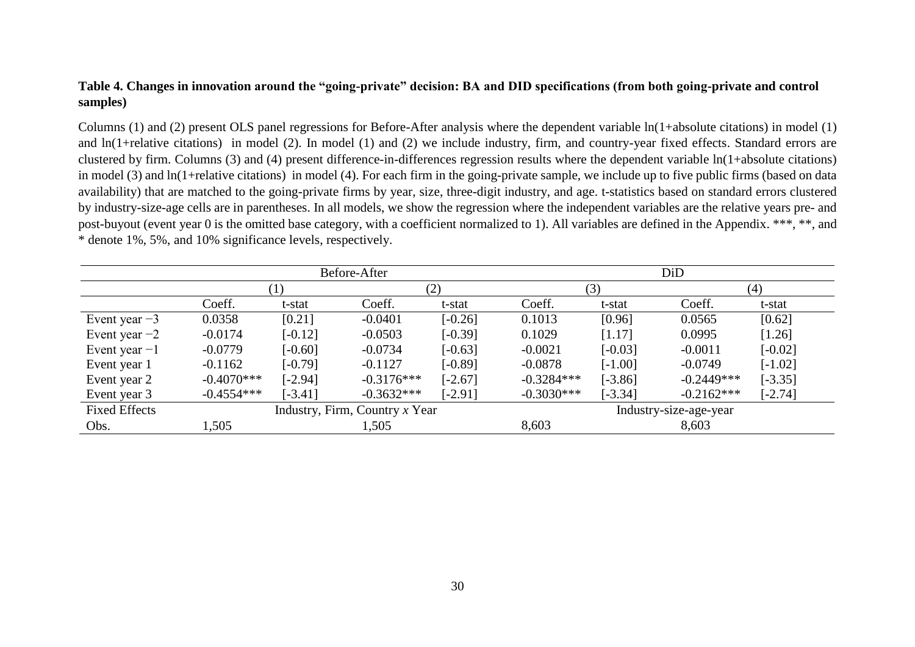# **Table 4. Changes in innovation around the "going-private" decision: BA and DID specifications (from both going-private and control samples)**

Columns (1) and (2) present OLS panel regressions for Before-After analysis where the dependent variable ln(1+absolute citations) in model (1) and ln(1+relative citations) in model (2). In model (1) and (2) we include industry, firm, and country-year fixed effects. Standard errors are clustered by firm. Columns (3) and (4) present difference-in-differences regression results where the dependent variable ln(1+absolute citations) in model (3) and ln(1+relative citations) in model (4). For each firm in the going-private sample, we include up to five public firms (based on data availability) that are matched to the going-private firms by year, size, three-digit industry, and age. t-statistics based on standard errors clustered by industry-size-age cells are in parentheses. In all models, we show the regression where the independent variables are the relative years pre- and post-buyout (event year 0 is the omitted base category, with a coefficient normalized to 1). All variables are defined in the Appendix. \*\*\*, \*\*, and \* denote 1%, 5%, and 10% significance levels, respectively.

|                      |                                  |           | Before-After |                        | DiD          |           |              |           |
|----------------------|----------------------------------|-----------|--------------|------------------------|--------------|-----------|--------------|-----------|
|                      |                                  |           |              | (2)                    |              | (3)       |              | (4)       |
|                      | Coeff.                           | t-stat    | Coeff.       | t-stat                 | Coeff.       | t-stat    | Coeff.       | t-stat    |
| Event year $-3$      | 0.0358                           | [0.21]    | $-0.0401$    | $[-0.26]$              | 0.1013       | [0.96]    | 0.0565       | [0.62]    |
| Event year $-2$      | $-0.0174$                        | $[-0.12]$ | $-0.0503$    | $[-0.39]$              | 0.1029       | [1.17]    | 0.0995       | [1.26]    |
| Event year $-1$      | $-0.0779$                        | $[-0.60]$ | $-0.0734$    | $[-0.63]$              | $-0.0021$    | $[-0.03]$ | $-0.0011$    | $[-0.02]$ |
| Event year 1         | $-0.1162$                        | $[-0.79]$ | $-0.1127$    | $[-0.89]$              | $-0.0878$    | $[-1.00]$ | $-0.0749$    | $[-1.02]$ |
| Event year 2         | $-0.4070***$                     | $[-2.94]$ | $-0.3176***$ | $[-2.67]$              | $-0.3284***$ | $[-3.86]$ | $-0.2449***$ | $[-3.35]$ |
| Event year 3         | $-0.4554***$                     | $[-3.41]$ | $-0.3632***$ | $[-2.91]$              | $-0.3030***$ | $[-3.34]$ | $-0.2162***$ | $[-2.74]$ |
| <b>Fixed Effects</b> | Industry, Firm, Country $x$ Year |           |              | Industry-size-age-year |              |           |              |           |
| Obs.                 | 1,505                            |           | 1,505        |                        | 8,603        |           | 8,603        |           |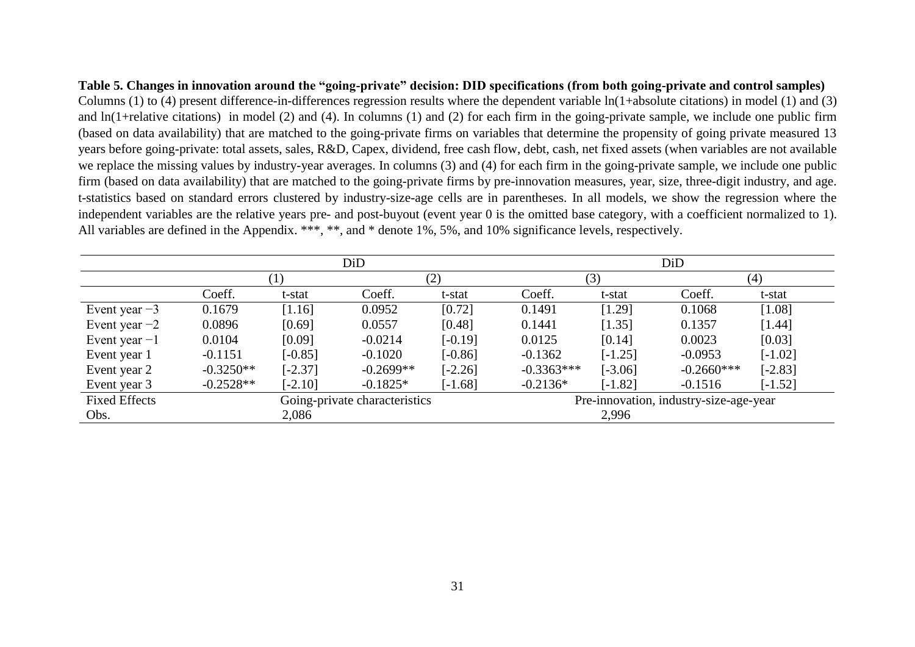**Table 5. Changes in innovation around the "going-private" decision: DID specifications (from both going-private and control samples)** Columns (1) to (4) present difference-in-differences regression results where the dependent variable ln(1+absolute citations) in model (1) and (3) and ln(1+relative citations) in model (2) and (4). In columns (1) and (2) for each firm in the going-private sample, we include one public firm (based on data availability) that are matched to the going-private firms on variables that determine the propensity of going private measured 13 years before going-private: total assets, sales, R&D, Capex, dividend, free cash flow, debt, cash, net fixed assets (when variables are not available we replace the missing values by industry-year averages. In columns (3) and (4) for each firm in the going-private sample, we include one public firm (based on data availability) that are matched to the going-private firms by pre-innovation measures, year, size, three-digit industry, and age. t-statistics based on standard errors clustered by industry-size-age cells are in parentheses. In all models, we show the regression where the independent variables are the relative years pre- and post-buyout (event year 0 is the omitted base category, with a coefficient normalized to 1). All variables are defined in the Appendix. \*\*\*, \*\*, and \* denote 1%, 5%, and 10% significance levels, respectively.

|                      |                               |           | DiD         |           |                                        | DiD       |              |           |  |
|----------------------|-------------------------------|-----------|-------------|-----------|----------------------------------------|-----------|--------------|-----------|--|
|                      |                               | (1)       |             | (2)       |                                        | (3)       |              | (4)       |  |
|                      | Coeff.                        | t-stat    | Coeff.      | t-stat    | Coeff.                                 | t-stat    | Coeff.       | t-stat    |  |
| Event year $-3$      | 0.1679                        | [1.16]    | 0.0952      | [0.72]    | 0.1491                                 | [1.29]    | 0.1068       | [1.08]    |  |
| Event year $-2$      | 0.0896                        | [0.69]    | 0.0557      | [0.48]    | 0.1441                                 | [1.35]    | 0.1357       | [1.44]    |  |
| Event year $-1$      | 0.0104                        | [0.09]    | $-0.0214$   | $[-0.19]$ | 0.0125                                 | [0.14]    | 0.0023       | [0.03]    |  |
| Event year 1         | $-0.1151$                     | $[-0.85]$ | $-0.1020$   | $[-0.86]$ | $-0.1362$                              | $[-1.25]$ | $-0.0953$    | $[-1.02]$ |  |
| Event year 2         | $-0.3250**$                   | $[-2.37]$ | $-0.2699**$ | $[-2.26]$ | $-0.3363***$                           | $[-3.06]$ | $-0.2660***$ | $[-2.83]$ |  |
| Event year 3         | $-0.2528**$                   | $[-2.10]$ | $-0.1825*$  | $[-1.68]$ | $-0.2136*$                             | $[-1.82]$ | $-0.1516$    | $[-1.52]$ |  |
| <b>Fixed Effects</b> | Going-private characteristics |           |             |           | Pre-innovation, industry-size-age-year |           |              |           |  |
| Obs.                 |                               | 2,086     |             |           |                                        | 2,996     |              |           |  |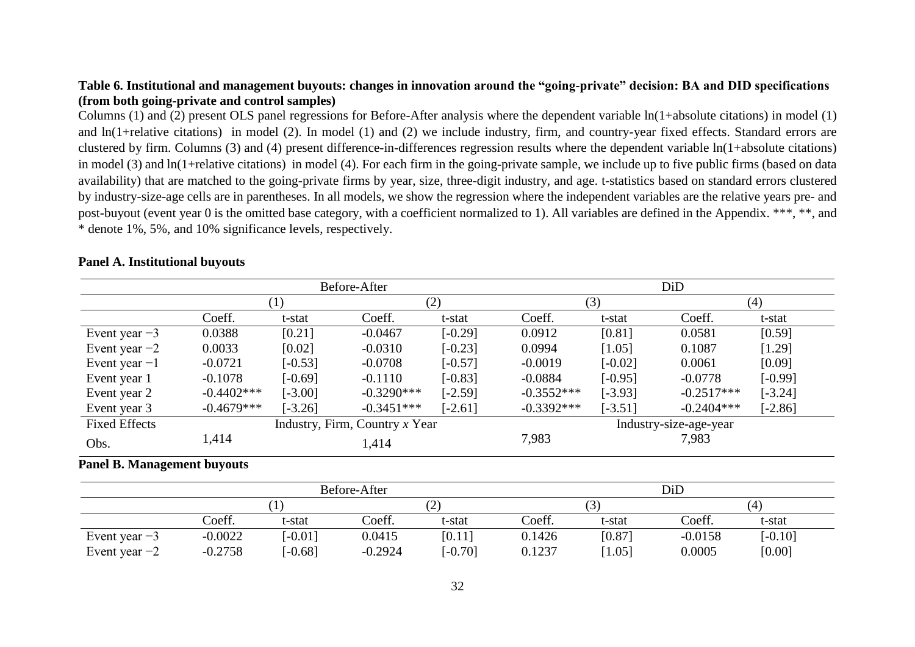# **Table 6. Institutional and management buyouts: changes in innovation around the "going-private" decision: BA and DID specifications (from both going-private and control samples)**

Columns (1) and (2) present OLS panel regressions for Before-After analysis where the dependent variable ln(1+absolute citations) in model (1) and ln(1+relative citations) in model (2). In model (1) and (2) we include industry, firm, and country-year fixed effects. Standard errors are clustered by firm. Columns (3) and (4) present difference-in-differences regression results where the dependent variable ln(1+absolute citations) in model (3) and ln(1+relative citations) in model (4). For each firm in the going-private sample, we include up to five public firms (based on data availability) that are matched to the going-private firms by year, size, three-digit industry, and age. t-statistics based on standard errors clustered by industry-size-age cells are in parentheses. In all models, we show the regression where the independent variables are the relative years pre- and post-buyout (event year 0 is the omitted base category, with a coefficient normalized to 1). All variables are defined in the Appendix. \*\*\*, \*\*, and \* denote 1%, 5%, and 10% significance levels, respectively.

|                                    |               |                   | Before-After                   |           | DiD          |           |                        |           |
|------------------------------------|---------------|-------------------|--------------------------------|-----------|--------------|-----------|------------------------|-----------|
|                                    |               | $\left( 1\right)$ |                                | (2)       |              | (3)       |                        | (4)       |
|                                    | Coeff.        | t-stat            | Coeff.                         | t-stat    | Coeff.       | t-stat    | Coeff.                 | t-stat    |
| Event year $-3$                    | 0.0388        | [0.21]            | $-0.0467$                      | $[-0.29]$ | 0.0912       | [0.81]    | 0.0581                 | [0.59]    |
| Event year $-2$                    | 0.0033        | [0.02]            | $-0.0310$                      | $[-0.23]$ | 0.0994       | [1.05]    | 0.1087                 | [1.29]    |
| Event year $-1$                    | $-0.0721$     | $[-0.53]$         | $-0.0708$                      | $[-0.57]$ | $-0.0019$    | $[-0.02]$ | 0.0061                 | [0.09]    |
| Event year 1                       | $-0.1078$     | $[-0.69]$         | $-0.1110$                      | $[-0.83]$ | $-0.0884$    | $[-0.95]$ | $-0.0778$              | $[-0.99]$ |
| Event year 2                       | $-0.4402$ *** | $[-3.00]$         | $-0.3290***$                   | $[-2.59]$ | $-0.3552***$ | $[-3.93]$ | $-0.2517***$           | $[-3.24]$ |
| Event year 3                       | $-0.4679***$  | $[-3.26]$         | $-0.3451***$                   | $[-2.61]$ | $-0.3392***$ | $[-3.51]$ | $-0.2404***$           | $[-2.86]$ |
| <b>Fixed Effects</b>               |               |                   | Industry, Firm, Country x Year |           |              |           | Industry-size-age-year |           |
| Obs.                               | 1,414         |                   | 1,414                          |           | 7,983        |           | 7,983                  |           |
| <b>Panel B. Management buyouts</b> |               |                   |                                |           |              |           |                        |           |

### **Panel A. Institutional buyouts**

|                 |           | Before-After |           |           | DiD    |          |           |           |  |
|-----------------|-----------|--------------|-----------|-----------|--------|----------|-----------|-----------|--|
|                 |           |              |           | ∠         |        |          |           | 4         |  |
|                 | Coeff.    | t-stat       | Coeff.    | t-stat    | Coeff. | t-stat   | Coeff.    | t-stat    |  |
| Event year $-3$ | $-0.0022$ | $-0.01$ ]    | 0.0415    | [0.11]    | 0.1426 | [0.87]   | $-0.0158$ | $[-0.10]$ |  |
| Event year $-2$ | $-0.2758$ | $-0.68$ ]    | $-0.2924$ | $-0.70$ ] | 0.1237 | $1.05$ ] | 0.0005    | [0.00]    |  |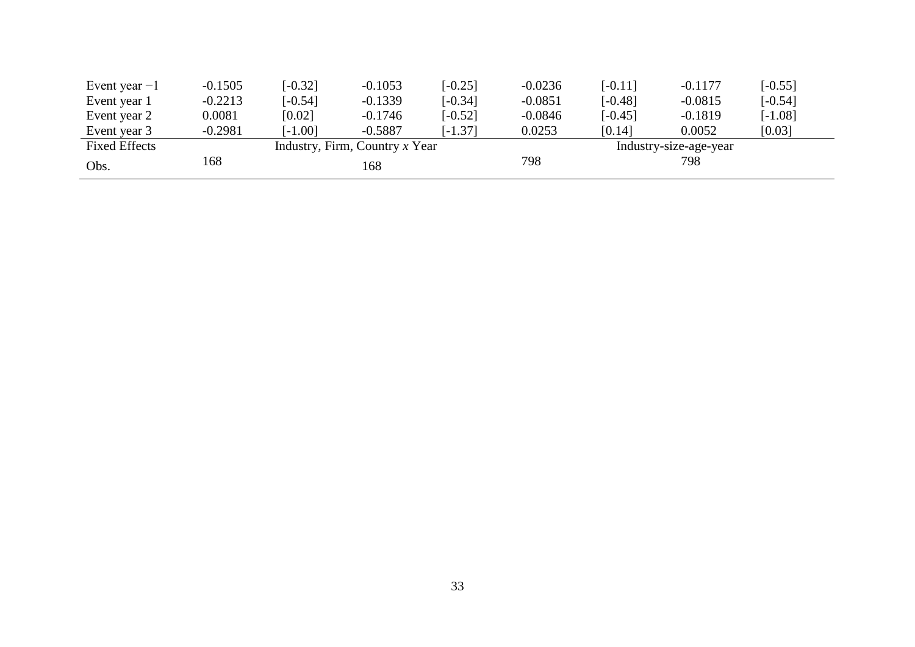| Event year $-1$      | $-0.1505$ | $[-0.32]$ | $-0.1053$                        | $[-0.25]$ | $-0.0236$              | $[-0.11]$ | $-0.1177$ | $[-0.55]$ |
|----------------------|-----------|-----------|----------------------------------|-----------|------------------------|-----------|-----------|-----------|
| Event year 1         | $-0.2213$ | $[-0.54]$ | $-0.1339$                        | $[-0.34]$ | $-0.0851$              | $[-0.48]$ | $-0.0815$ | $[-0.54]$ |
| Event year 2         | 0.0081    | [0.02]    | $-0.1746$                        | $[-0.52]$ | $-0.0846$              | $[-0.45]$ | $-0.1819$ | $[-1.08]$ |
| Event year 3         | $-0.2981$ | $[-1.00]$ | $-0.5887$                        | $[-1.37]$ | 0.0253                 | [0.14]    | 0.0052    | [0.03]    |
| <b>Fixed Effects</b> |           |           | Industry, Firm, Country $x$ Year |           | Industry-size-age-year |           |           |           |
| Obs.                 | 168       |           | 168                              |           | 798                    |           | 798       |           |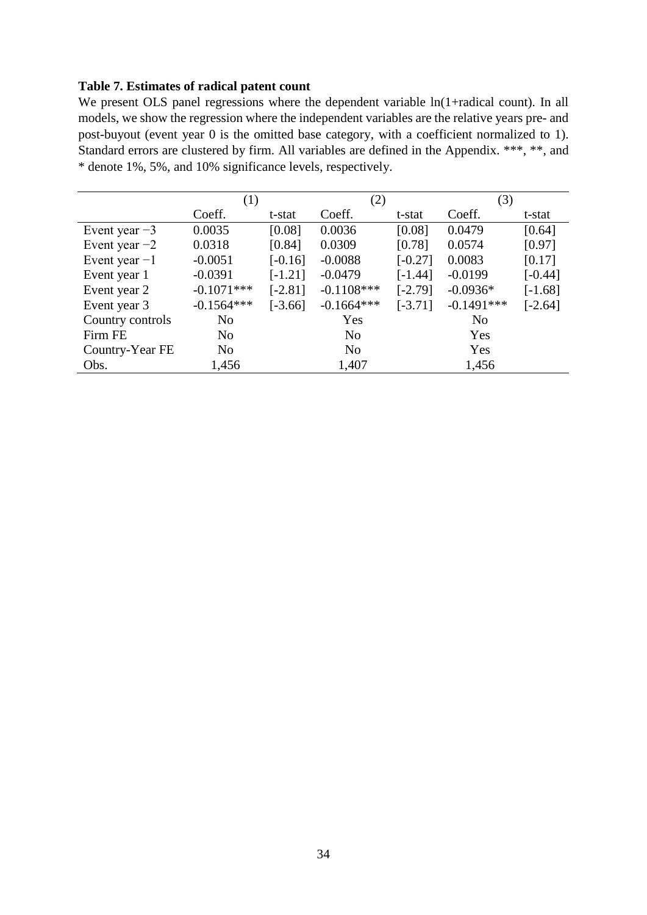# **Table 7. Estimates of radical patent count**

We present OLS panel regressions where the dependent variable  $ln(1+radical count)$ . In all models, we show the regression where the independent variables are the relative years pre- and post-buyout (event year 0 is the omitted base category, with a coefficient normalized to 1). Standard errors are clustered by firm. All variables are defined in the Appendix. \*\*\*, \*\*, and \* denote 1%, 5%, and 10% significance levels, respectively.

|                  | (1)            |                       | (2)            |           | (3)            |           |  |
|------------------|----------------|-----------------------|----------------|-----------|----------------|-----------|--|
|                  | Coeff.         | t-stat                | Coeff.         | t-stat    | Coeff.         | t-stat    |  |
| Event year $-3$  | 0.0035         | [0.08]                | 0.0036         | [0.08]    | 0.0479         | [0.64]    |  |
| Event year $-2$  | 0.0318         | [0.84]                | 0.0309         | [0.78]    | 0.0574         | [0.97]    |  |
| Event year $-1$  | $-0.0051$      | $[-0.16]$             | $-0.0088$      | $[-0.27]$ | 0.0083         | [0.17]    |  |
| Event year 1     | $-0.0391$      | $[-1.21]$             | $-0.0479$      | $[-1.44]$ | $-0.0199$      | $[-0.44]$ |  |
| Event year 2     | $-0.1071***$   | $[-2.81]$             | $-0.1108$ ***  | $[-2.79]$ | $-0.0936*$     | $[-1.68]$ |  |
| Event year 3     | $-0.1564***$   | $[-3.66]$             | $-0.1664***$   | $[-3.71]$ | $-0.1491***$   | $[-2.64]$ |  |
| Country controls | N <sub>o</sub> |                       | Yes            |           | N <sub>o</sub> |           |  |
| Firm FE          | N <sub>o</sub> |                       | N <sub>0</sub> |           | Yes            |           |  |
| Country-Year FE  | N <sub>o</sub> | Yes<br>N <sub>0</sub> |                |           |                |           |  |
| Obs.             | 1,456          |                       | 1,407          |           | 1,456          |           |  |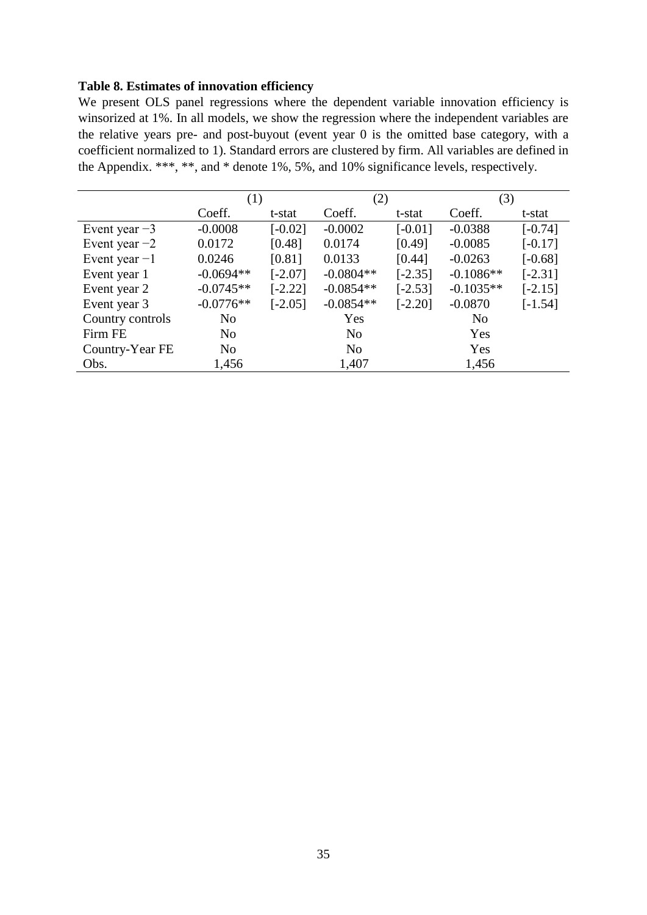# **Table 8. Estimates of innovation efficiency**

We present OLS panel regressions where the dependent variable innovation efficiency is winsorized at 1%. In all models, we show the regression where the independent variables are the relative years pre- and post-buyout (event year 0 is the omitted base category, with a coefficient normalized to 1). Standard errors are clustered by firm. All variables are defined in the Appendix. \*\*\*, \*\*, and \* denote 1%, 5%, and 10% significance levels, respectively.

|                  | (1)            |           | (2)         |           | (3)            |           |
|------------------|----------------|-----------|-------------|-----------|----------------|-----------|
|                  | Coeff.         | t-stat    | Coeff.      | t-stat    | Coeff.         | t-stat    |
| Event year $-3$  | $-0.0008$      | $[-0.02]$ | $-0.0002$   | $[-0.01]$ | $-0.0388$      | $[-0.74]$ |
| Event year $-2$  | 0.0172         | [0.48]    | 0.0174      | [0.49]    | $-0.0085$      | $[-0.17]$ |
| Event year $-1$  | 0.0246         | [0.81]    | 0.0133      | [0.44]    | $-0.0263$      | $[-0.68]$ |
| Event year 1     | $-0.0694**$    | $[-2.07]$ | $-0.0804**$ | $[-2.35]$ | $-0.1086**$    | $[-2.31]$ |
| Event year 2     | $-0.0745**$    | $[-2.22]$ | $-0.0854**$ | $[-2.53]$ | $-0.1035**$    | $[-2.15]$ |
| Event year 3     | $-0.0776**$    | $[-2.05]$ | $-0.0854**$ | $[-2.20]$ | $-0.0870$      | $[-1.54]$ |
| Country controls | N <sub>o</sub> |           | Yes         |           | N <sub>o</sub> |           |
| Firm FE          | N <sub>o</sub> |           | No          |           | Yes            |           |
| Country-Year FE  | N <sub>o</sub> |           | No          |           | Yes            |           |
| Obs.             | 1,456          |           | 1,407       |           | 1,456          |           |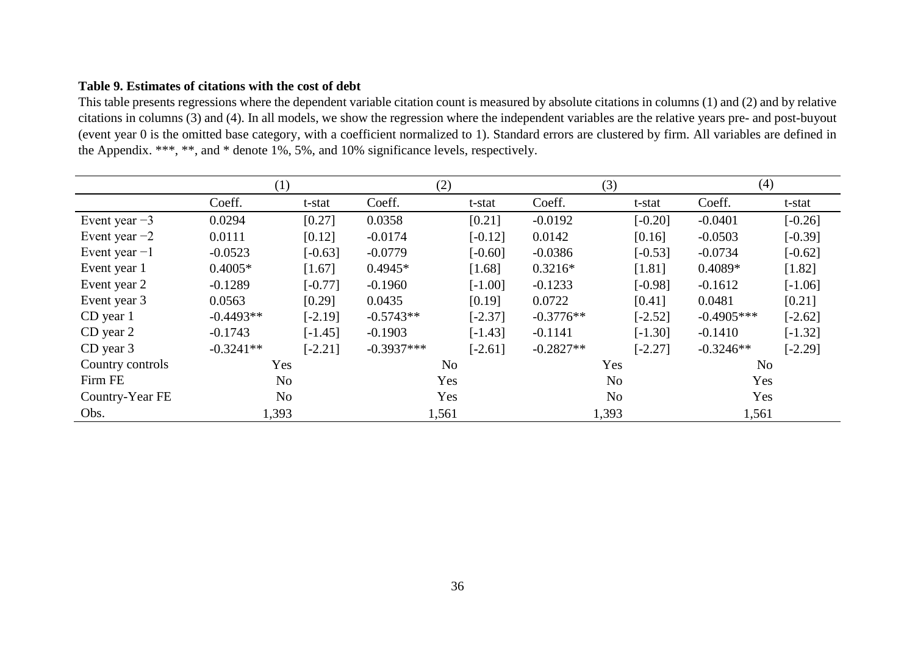# **Table 9. Estimates of citations with the cost of debt**

This table presents regressions where the dependent variable citation count is measured by absolute citations in columns (1) and (2) and by relative citations in columns (3) and (4). In all models, we show the regression where the independent variables are the relative years pre- and post-buyout (event year 0 is the omitted base category, with a coefficient normalized to 1). Standard errors are clustered by firm. All variables are defined in the Appendix. \*\*\*, \*\*, and \* denote 1%, 5%, and 10% significance levels, respectively.

|                  | (1)            |           |              | (2)            |             | (3)            | (4)          |           |
|------------------|----------------|-----------|--------------|----------------|-------------|----------------|--------------|-----------|
|                  | Coeff.         | t-stat    | Coeff.       | t-stat         | Coeff.      | t-stat         | Coeff.       | t-stat    |
| Event year $-3$  | 0.0294         | [0.27]    | 0.0358       | [0.21]         | $-0.0192$   | $[-0.20]$      | $-0.0401$    | $[-0.26]$ |
| Event year $-2$  | 0.0111         | [0.12]    | $-0.0174$    | $[-0.12]$      | 0.0142      | [0.16]         | $-0.0503$    | $[-0.39]$ |
| Event year $-1$  | $-0.0523$      | $[-0.63]$ | $-0.0779$    | $[-0.60]$      | $-0.0386$   | $[-0.53]$      | $-0.0734$    | $[-0.62]$ |
| Event year 1     | $0.4005*$      | $[1.67]$  | $0.4945*$    | $[1.68]$       | $0.3216*$   | [1.81]         | $0.4089*$    | [1.82]    |
| Event year 2     | $-0.1289$      | $[-0.77]$ | $-0.1960$    | $[-1.00]$      | $-0.1233$   | $[-0.98]$      | $-0.1612$    | $[-1.06]$ |
| Event year 3     | 0.0563         | [0.29]    | 0.0435       | [0.19]         | 0.0722      | [0.41]         | 0.0481       | [0.21]    |
| CD year 1        | $-0.4493**$    | $[-2.19]$ | $-0.5743**$  | $[-2.37]$      | $-0.3776**$ | $[-2.52]$      | $-0.4905***$ | $[-2.62]$ |
| CD year 2        | $-0.1743$      | $[-1.45]$ | $-0.1903$    | $[-1.43]$      | $-0.1141$   | $[-1.30]$      | $-0.1410$    | $[-1.32]$ |
| $CD$ year $3$    | $-0.3241**$    | $[-2.21]$ | $-0.3937***$ | $[-2.61]$      | $-0.2827**$ | $[-2.27]$      | $-0.3246**$  | $[-2.29]$ |
| Country controls | Yes            |           |              | N <sub>o</sub> |             | Yes            | No.          |           |
| Firm FE          | N <sub>o</sub> |           |              | Yes            |             | N <sub>o</sub> | Yes          |           |
| Country-Year FE  | No             |           |              | Yes            |             | N <sub>o</sub> | Yes          |           |
| Obs.             | 1,393          |           |              | 1,561          |             | 1,393          | 1,561        |           |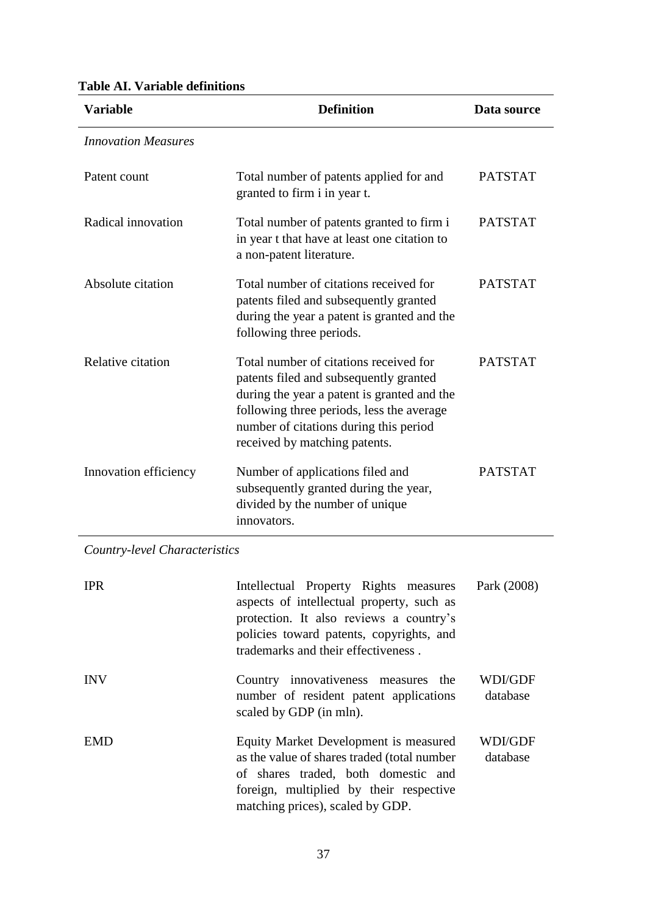| <b>Variable</b>            | <b>Definition</b>                                                                                                                                                                                                                                       | Data source    |
|----------------------------|---------------------------------------------------------------------------------------------------------------------------------------------------------------------------------------------------------------------------------------------------------|----------------|
| <b>Innovation Measures</b> |                                                                                                                                                                                                                                                         |                |
| Patent count               | Total number of patents applied for and<br>granted to firm i in year t.                                                                                                                                                                                 | <b>PATSTAT</b> |
| Radical innovation         | Total number of patents granted to firm i<br>in year t that have at least one citation to<br>a non-patent literature.                                                                                                                                   | <b>PATSTAT</b> |
| Absolute citation          | Total number of citations received for<br>patents filed and subsequently granted<br>during the year a patent is granted and the<br>following three periods.                                                                                             | <b>PATSTAT</b> |
| Relative citation          | Total number of citations received for<br>patents filed and subsequently granted<br>during the year a patent is granted and the<br>following three periods, less the average<br>number of citations during this period<br>received by matching patents. | <b>PATSTAT</b> |
| Innovation efficiency      | Number of applications filed and<br>subsequently granted during the year,<br>divided by the number of unique<br>innovators.                                                                                                                             | <b>PATSTAT</b> |

# **Table AI. Variable definitions**

*Country-level Characteristics*

| <b>IPR</b> | Intellectual Property Rights measures<br>aspects of intellectual property, such as<br>protection. It also reviews a country's<br>policies toward patents, copyrights, and<br>trademarks and their effectiveness. | Park (2008)         |
|------------|------------------------------------------------------------------------------------------------------------------------------------------------------------------------------------------------------------------|---------------------|
| <b>INV</b> | Country innovativeness measures the<br>number of resident patent applications<br>scaled by GDP (in mln).                                                                                                         | WDI/GDF<br>database |
| <b>EMD</b> | Equity Market Development is measured<br>as the value of shares traded (total number<br>of shares traded, both domestic and<br>foreign, multiplied by their respective<br>matching prices), scaled by GDP.       | WDI/GDF<br>database |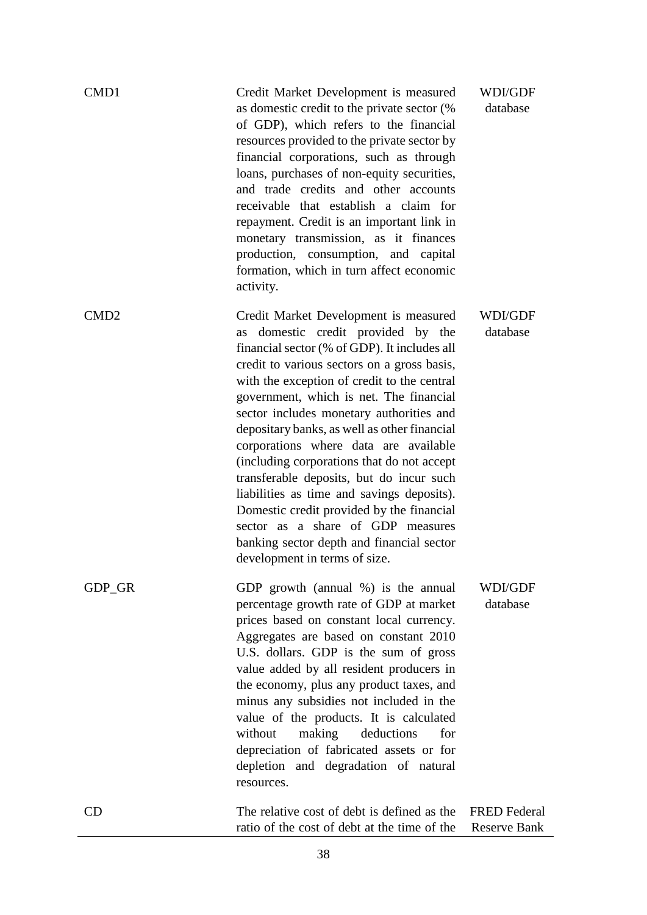| CMD1             | Credit Market Development is measured<br>as domestic credit to the private sector (%<br>of GDP), which refers to the financial<br>resources provided to the private sector by<br>financial corporations, such as through<br>loans, purchases of non-equity securities,<br>and trade credits and other accounts<br>receivable that establish a claim for<br>repayment. Credit is an important link in<br>monetary transmission, as it finances<br>production, consumption, and capital<br>formation, which in turn affect economic<br>activity.                                                                                                                                                                       | WDI/GDF<br>database                        |
|------------------|----------------------------------------------------------------------------------------------------------------------------------------------------------------------------------------------------------------------------------------------------------------------------------------------------------------------------------------------------------------------------------------------------------------------------------------------------------------------------------------------------------------------------------------------------------------------------------------------------------------------------------------------------------------------------------------------------------------------|--------------------------------------------|
| CMD <sub>2</sub> | Credit Market Development is measured<br>domestic credit provided by the<br>as<br>financial sector (% of GDP). It includes all<br>credit to various sectors on a gross basis,<br>with the exception of credit to the central<br>government, which is net. The financial<br>sector includes monetary authorities and<br>depositary banks, as well as other financial<br>corporations where data are available<br>(including corporations that do not accept<br>transferable deposits, but do incur such<br>liabilities as time and savings deposits).<br>Domestic credit provided by the financial<br>sector as a share of GDP measures<br>banking sector depth and financial sector<br>development in terms of size. | <b>WDI/GDF</b><br>database                 |
| GDP_GR           | GDP growth (annual %) is the annual<br>percentage growth rate of GDP at market<br>prices based on constant local currency.<br>Aggregates are based on constant 2010<br>U.S. dollars. GDP is the sum of gross<br>value added by all resident producers in<br>the economy, plus any product taxes, and<br>minus any subsidies not included in the<br>value of the products. It is calculated<br>without<br>making<br>deductions<br>for<br>depreciation of fabricated assets or for<br>depletion and degradation of natural<br>resources.                                                                                                                                                                               | WDI/GDF<br>database                        |
| CD               | The relative cost of debt is defined as the<br>ratio of the cost of debt at the time of the                                                                                                                                                                                                                                                                                                                                                                                                                                                                                                                                                                                                                          | <b>FRED Federal</b><br><b>Reserve Bank</b> |